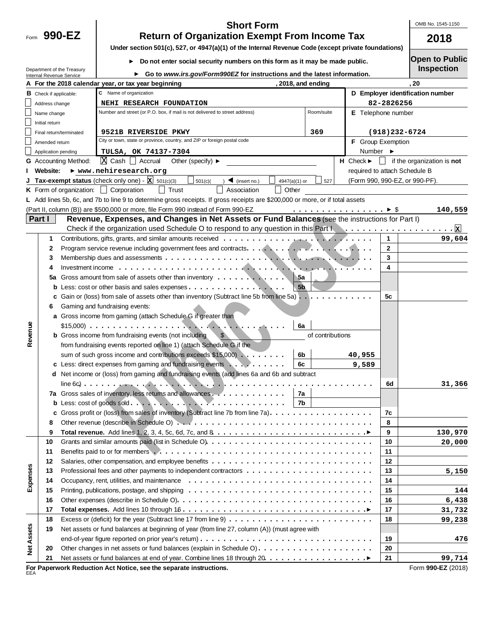OMB No. 1545-1150

| 990<br>Form |  |
|-------------|--|
|-------------|--|

## **990-EZ 2018 Return of Organization Exempt From Income Tax Short Form**

**Under section 501(c), 527, or 4947(a)(1) of the Internal Revenue Code (except private foundations)**

**Do not enter social security numbers on this form as it may be made public.** 

Duction **Designation** 

|                   |                               |                             | Do not enter social security numbers on this form as it may be made public.                                                                                                                                                    |                  |                                 |                  | Open to Lapilo<br><b>Inspection</b>      |
|-------------------|-------------------------------|-----------------------------|--------------------------------------------------------------------------------------------------------------------------------------------------------------------------------------------------------------------------------|------------------|---------------------------------|------------------|------------------------------------------|
|                   | Internal Revenue Service      | Department of the Treasury  | Go to www.irs.gov/Form990EZ for instructions and the latest information.                                                                                                                                                       |                  |                                 |                  |                                          |
|                   |                               |                             | A For the 2018 calendar year, or tax year beginning                                                                                                                                                                            | 2018, and ending |                                 |                  | .20                                      |
|                   | <b>B</b> Check if applicable: |                             | C Name of organization                                                                                                                                                                                                         |                  |                                 |                  | D Employer identification number         |
|                   | Address change                |                             | NEHI RESEARCH FOUNDATION                                                                                                                                                                                                       |                  |                                 | 82-2826256       |                                          |
|                   | Name change                   |                             | Number and street (or P.O. box, if mail is not delivered to street address)                                                                                                                                                    | Room/suite       | E Telephone number              |                  |                                          |
|                   | Initial return                |                             |                                                                                                                                                                                                                                |                  |                                 |                  |                                          |
|                   |                               | Final return/terminated     | 9521B RIVERSIDE PKWY                                                                                                                                                                                                           | 369              |                                 | $(918)$ 232-6724 |                                          |
|                   | Amended return                |                             | City or town, state or province, country, and ZIP or foreign postal code                                                                                                                                                       |                  | F Group Exemption               |                  |                                          |
|                   | Application pending           |                             | TULSA, OK 74137-7304                                                                                                                                                                                                           |                  | Number $\blacktriangleright$    |                  |                                          |
|                   |                               | <b>G</b> Accounting Method: | $X$ Cash $A$ Accrual<br>Other (specify) $\blacktriangleright$                                                                                                                                                                  |                  | $H$ Check $\blacktriangleright$ |                  | $\Box$ if the organization is <b>not</b> |
|                   | <b>Website:</b>               |                             | ▶ www.nehiresearch.org                                                                                                                                                                                                         |                  | required to attach Schedule B   |                  |                                          |
|                   |                               |                             | <b>Tax-exempt status</b> (check only one) - $\mathbf{\underline{x}}$ 501(c)(3)<br>501(c)<br>$\sum$ (insert no.)<br>4947(a)(1) or                                                                                               | 527              |                                 |                  | (Form 990, 990-EZ, or 990-PF).           |
|                   |                               |                             | $\Box$ Trust<br><b>K</b> Form of organization: $\Box$ Corporation<br>Association<br>  Other                                                                                                                                    |                  |                                 |                  |                                          |
|                   |                               |                             | L Add lines 5b, 6c, and 7b to line 9 to determine gross receipts. If gross receipts are \$200,000 or more, or if total assets                                                                                                  |                  |                                 |                  |                                          |
|                   |                               |                             | (Part II, column (B)) are \$500,000 or more, file Form 990 instead of Form 990-EZ                                                                                                                                              |                  |                                 |                  | 140,559                                  |
|                   | Part I                        |                             | Revenue, Expenses, and Changes in Net Assets or Fund Balances (see the instructions for Part I)                                                                                                                                |                  |                                 |                  |                                          |
|                   |                               |                             | Check if the organization used Schedule O to respond to any question in this Part New Lotton Burror Check if the organization used Schedule O to respond to any question in this Part New Lotton Burror Check                  |                  |                                 |                  |                                          |
|                   | 1                             |                             |                                                                                                                                                                                                                                |                  |                                 | $\mathbf{1}$     | 99,604                                   |
|                   | 2                             |                             |                                                                                                                                                                                                                                |                  |                                 | $\mathbf{2}$     |                                          |
|                   | 3                             |                             |                                                                                                                                                                                                                                |                  |                                 | 3                |                                          |
|                   | 4                             |                             |                                                                                                                                                                                                                                |                  |                                 | 4                |                                          |
|                   | 5a                            |                             | Gross amount from sale of assets other than inventory<br>5а                                                                                                                                                                    |                  |                                 |                  |                                          |
|                   |                               |                             | 5 <sub>b</sub>                                                                                                                                                                                                                 |                  |                                 |                  |                                          |
|                   |                               |                             | c Gain or (loss) from sale of assets other than inventory (Subtract line 5b from line 5a) $\dots \dots$                                                                                                                        |                  |                                 | 5с               |                                          |
|                   | 6                             |                             | Gaming and fundraising events:                                                                                                                                                                                                 |                  |                                 |                  |                                          |
|                   |                               |                             | a Gross income from gaming (attach Schedule G if greater than                                                                                                                                                                  |                  |                                 |                  |                                          |
|                   |                               |                             | 6a                                                                                                                                                                                                                             |                  |                                 |                  |                                          |
| Revenue           |                               |                             | <b>b</b> Gross income from fundraising events (not including<br>$\mathbb{S}$                                                                                                                                                   | of contributions |                                 |                  |                                          |
|                   |                               |                             | from fundraising events reported on line 1) (attach Schedule G if the                                                                                                                                                          |                  |                                 |                  |                                          |
|                   |                               |                             | sum of such gross income and contributions exceeds \$15,000)<br>6b                                                                                                                                                             |                  | 40,955                          |                  |                                          |
|                   |                               |                             | 6c<br>c Less: direct expenses from gaming and fundraising events                                                                                                                                                               |                  | 9,589                           |                  |                                          |
|                   |                               |                             | d Net income or (loss) from gaming and fundraising events (add lines 6a and 6b and subtract                                                                                                                                    |                  |                                 |                  |                                          |
|                   |                               |                             |                                                                                                                                                                                                                                |                  |                                 | 6d               | 31,366                                   |
|                   |                               |                             | 7a Gross sales of inventory, less returns and allowances<br>7а                                                                                                                                                                 |                  |                                 |                  |                                          |
|                   |                               |                             | 7b                                                                                                                                                                                                                             |                  |                                 |                  |                                          |
|                   |                               |                             | c Gross profit or (loss) from sales of inventory (Subtract line 7b from line 7a).                                                                                                                                              |                  |                                 | 7c               |                                          |
|                   |                               |                             |                                                                                                                                                                                                                                |                  |                                 | 8                |                                          |
|                   | 9                             |                             | Total revenue. Add lines 1, 2, 3, 4, 5c, 6d, 7c, and 8 $\dots \dots \dots \dots \dots \dots \dots \dots \dots \dots \dots$                                                                                                     |                  |                                 | 9                | 130,970                                  |
|                   | 10                            |                             |                                                                                                                                                                                                                                |                  |                                 | 10               | 20,000                                   |
|                   | 11                            |                             | Benefits paid to or for members exercise with contact to contact the series of the series of the series of the series of the series of the series of the series of the series of the series of the series of the series of the |                  |                                 | 11               |                                          |
|                   | 12                            |                             |                                                                                                                                                                                                                                |                  |                                 | 12               |                                          |
|                   | 13                            |                             |                                                                                                                                                                                                                                |                  |                                 | 13               | 5,150                                    |
| Expenses          | 14                            |                             |                                                                                                                                                                                                                                |                  |                                 | 14               |                                          |
|                   | 15                            |                             |                                                                                                                                                                                                                                |                  |                                 | 15               | 144                                      |
|                   | 16                            |                             |                                                                                                                                                                                                                                |                  |                                 | 16               | 6,438                                    |
|                   | 17                            |                             |                                                                                                                                                                                                                                |                  |                                 | 17               | 31,732                                   |
|                   | 18                            |                             |                                                                                                                                                                                                                                |                  |                                 | 18               | 99,238                                   |
|                   | 19                            |                             | Net assets or fund balances at beginning of year (from line 27, column (A)) (must agree with                                                                                                                                   |                  |                                 |                  |                                          |
| <b>Net Assets</b> |                               |                             |                                                                                                                                                                                                                                |                  |                                 | 19               | 476                                      |
|                   | 20                            |                             |                                                                                                                                                                                                                                |                  |                                 | 20               |                                          |
|                   | 21                            |                             |                                                                                                                                                                                                                                |                  |                                 | 21               | 99,714                                   |
|                   |                               |                             | For Paperwork Reduction Act Notice, see the separate instructions.                                                                                                                                                             |                  |                                 |                  | Form 990-EZ (2018)                       |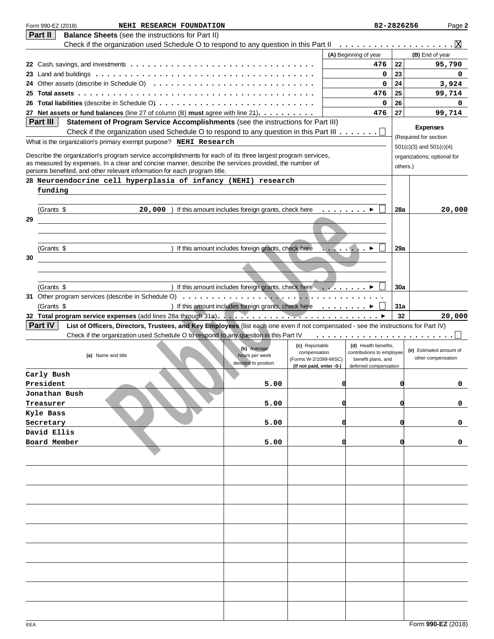| Form 990-EZ (2018)<br>NEHI RESEARCH FOUNDATION                                                                                                                                                                       |                                                                      |                                       | 82-2826256                                      |          | Page 2                                |
|----------------------------------------------------------------------------------------------------------------------------------------------------------------------------------------------------------------------|----------------------------------------------------------------------|---------------------------------------|-------------------------------------------------|----------|---------------------------------------|
| <b>Part II</b><br><b>Balance Sheets</b> (see the instructions for Part II)                                                                                                                                           |                                                                      |                                       |                                                 |          |                                       |
| Check if the organization used Schedule O to respond to any question in this Part II                                                                                                                                 |                                                                      |                                       |                                                 |          | _ <u>.....</u> ...................... |
|                                                                                                                                                                                                                      |                                                                      |                                       | (A) Beginning of year                           |          | (B) End of year                       |
|                                                                                                                                                                                                                      |                                                                      |                                       | 476                                             | 22       | 95,790                                |
|                                                                                                                                                                                                                      |                                                                      |                                       | 0                                               | 23       | 0                                     |
|                                                                                                                                                                                                                      |                                                                      |                                       | 0                                               | 24       | 3,924                                 |
|                                                                                                                                                                                                                      |                                                                      |                                       | 476                                             | 25<br>26 | 99,714                                |
| 27 Net assets or fund balances (line 27 of column (B) must agree with line 21).                                                                                                                                      |                                                                      |                                       | 0<br>476                                        | 27       | 0                                     |
| Part III<br>Statement of Program Service Accomplishments (see the instructions for Part III)                                                                                                                         |                                                                      |                                       |                                                 |          | 99,714                                |
| Check if the organization used Schedule O to respond to any question in this Part III $\dots \dots \dots$                                                                                                            |                                                                      |                                       |                                                 |          | <b>Expenses</b>                       |
| What is the organization's primary exempt purpose? NEHI Research                                                                                                                                                     |                                                                      |                                       |                                                 |          | (Required for section                 |
|                                                                                                                                                                                                                      |                                                                      |                                       |                                                 |          | $501(c)(3)$ and $501(c)(4)$           |
| Describe the organization's program service accomplishments for each of its three largest program services,<br>as measured by expenses. In a clear and concise manner, describe the services provided, the number of |                                                                      |                                       |                                                 |          | organizations; optional for           |
| persons benefited, and other relevant information for each program title.                                                                                                                                            |                                                                      |                                       |                                                 | others.) |                                       |
| 28 Neuroendocrine cell hyperplasia of infancy (NEHI) research                                                                                                                                                        |                                                                      |                                       |                                                 |          |                                       |
| funding                                                                                                                                                                                                              |                                                                      |                                       |                                                 |          |                                       |
|                                                                                                                                                                                                                      |                                                                      |                                       |                                                 |          |                                       |
| (Grants \$<br>20,000 ) If this amount includes foreign grants, check here $\dots \dots$                                                                                                                              |                                                                      |                                       |                                                 | 28a      | 20,000                                |
| 29                                                                                                                                                                                                                   |                                                                      |                                       |                                                 |          |                                       |
|                                                                                                                                                                                                                      |                                                                      |                                       |                                                 |          |                                       |
|                                                                                                                                                                                                                      |                                                                      |                                       |                                                 |          |                                       |
| (Grants \$                                                                                                                                                                                                           | ) If this amount includes foreign grants, check here                 |                                       | . . <i>.</i>                                    | 29a      |                                       |
| 30                                                                                                                                                                                                                   |                                                                      |                                       |                                                 |          |                                       |
|                                                                                                                                                                                                                      |                                                                      |                                       |                                                 |          |                                       |
| (Grants \$                                                                                                                                                                                                           | ) If this amount includes foreign grants, check here $\ldots \ldots$ |                                       |                                                 | 30a      |                                       |
| 31 Other program services (describe in Schedule O)                                                                                                                                                                   |                                                                      |                                       |                                                 |          |                                       |
| (Grants \$                                                                                                                                                                                                           | ) If this amount includes foreign grants, check here $\ldots \ldots$ |                                       |                                                 | 31a      |                                       |
|                                                                                                                                                                                                                      |                                                                      |                                       |                                                 | 32       | 20,000                                |
| Part IV<br>List of Officers, Directors, Trustees, and Key Employees (list each one even if not compensated - see the instructions for Part IV)                                                                       |                                                                      |                                       |                                                 |          |                                       |
| Check if the organization used Schedule O to respond to any question in this Part IV                                                                                                                                 |                                                                      |                                       |                                                 |          |                                       |
|                                                                                                                                                                                                                      | (b) Average                                                          | (c) Reportable                        | (d) Health benefits,                            |          | (e) Estimated amount of               |
| (a) Name and title                                                                                                                                                                                                   | hours per week                                                       | compensation<br>(Forms W-2/1099-MISC) | contributions to employee<br>benefit plans, and |          | other compensation                    |
|                                                                                                                                                                                                                      | devoted to position                                                  | (if not paid, enter -0-)              | deferred compensation                           |          |                                       |
| Carly Bush                                                                                                                                                                                                           |                                                                      |                                       |                                                 |          |                                       |
| President                                                                                                                                                                                                            | 5.00                                                                 |                                       |                                                 | a        | 0                                     |
| Jonathan Bush                                                                                                                                                                                                        |                                                                      |                                       |                                                 |          |                                       |
| Treasurer                                                                                                                                                                                                            | 5.00                                                                 |                                       |                                                 |          | 0                                     |
| Kyle Bass                                                                                                                                                                                                            |                                                                      |                                       |                                                 |          |                                       |
| Secretary<br>David Ellis                                                                                                                                                                                             | 5.00                                                                 |                                       |                                                 |          | 0                                     |
| Board Member                                                                                                                                                                                                         | 5.00                                                                 |                                       |                                                 |          | 0                                     |
|                                                                                                                                                                                                                      |                                                                      |                                       |                                                 |          |                                       |
|                                                                                                                                                                                                                      |                                                                      |                                       |                                                 |          |                                       |
|                                                                                                                                                                                                                      |                                                                      |                                       |                                                 |          |                                       |
|                                                                                                                                                                                                                      |                                                                      |                                       |                                                 |          |                                       |
|                                                                                                                                                                                                                      |                                                                      |                                       |                                                 |          |                                       |
|                                                                                                                                                                                                                      |                                                                      |                                       |                                                 |          |                                       |
|                                                                                                                                                                                                                      |                                                                      |                                       |                                                 |          |                                       |
|                                                                                                                                                                                                                      |                                                                      |                                       |                                                 |          |                                       |
|                                                                                                                                                                                                                      |                                                                      |                                       |                                                 |          |                                       |
|                                                                                                                                                                                                                      |                                                                      |                                       |                                                 |          |                                       |
|                                                                                                                                                                                                                      |                                                                      |                                       |                                                 |          |                                       |
|                                                                                                                                                                                                                      |                                                                      |                                       |                                                 |          |                                       |
|                                                                                                                                                                                                                      |                                                                      |                                       |                                                 |          |                                       |
|                                                                                                                                                                                                                      |                                                                      |                                       |                                                 |          |                                       |
|                                                                                                                                                                                                                      |                                                                      |                                       |                                                 |          |                                       |
|                                                                                                                                                                                                                      |                                                                      |                                       |                                                 |          |                                       |
|                                                                                                                                                                                                                      |                                                                      |                                       |                                                 |          |                                       |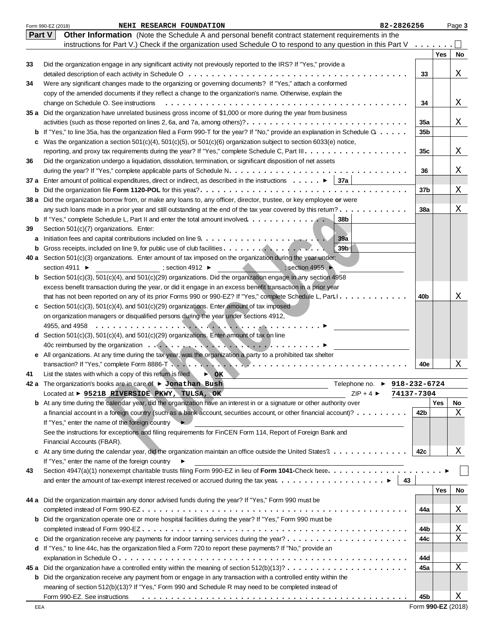|    | 82-2826256<br>Form 990-EZ (2018)<br>NEHI RESEARCH FOUNDATION                                                                                |                                                                                                                    |     | Page 3 |
|----|---------------------------------------------------------------------------------------------------------------------------------------------|--------------------------------------------------------------------------------------------------------------------|-----|--------|
|    | Part V<br>Other Information (Note the Schedule A and personal benefit contract statement requirements in the                                |                                                                                                                    |     |        |
|    | instructions for Part V.) Check if the organization used Schedule O to respond to any question in this Part V                               | $\mathbf{1} \quad \mathbf{1} \quad \mathbf{2} \quad \mathbf{3} \quad \mathbf{4} \quad \mathbf{5} \quad \mathbf{6}$ |     |        |
|    |                                                                                                                                             |                                                                                                                    | Yes | No     |
| 33 | Did the organization engage in any significant activity not previously reported to the IRS? If "Yes," provide a                             |                                                                                                                    |     |        |
|    |                                                                                                                                             | 33                                                                                                                 |     | X      |
| 34 | Were any significant changes made to the organizing or governing documents? If "Yes," attach a conformed                                    |                                                                                                                    |     |        |
|    | copy of the amended documents if they reflect a change to the organization's name. Otherwise, explain the                                   |                                                                                                                    |     |        |
|    | change on Schedule O. See instructions                                                                                                      | 34                                                                                                                 |     | Χ      |
|    | 35 a Did the organization have unrelated business gross income of \$1,000 or more during the year from business                             |                                                                                                                    |     |        |
|    | activities (such as those reported on lines 2, 6a, and 7a, among others)?                                                                   | 35a                                                                                                                |     | X      |
| b  | If "Yes," to line 35a, has the organization filed a Form 990-T for the year? If "No," provide an explanation in Schedule $Q_1, \ldots, Q_n$ | 35b                                                                                                                |     |        |
| c  | Was the organization a section $501(c)(4)$ , $501(c)(5)$ , or $501(c)(6)$ organization subject to section 6033(e) notice,                   |                                                                                                                    |     |        |
|    |                                                                                                                                             | 35c                                                                                                                |     | Χ      |
| 36 | Did the organization undergo a liquidation, dissolution, termination, or significant disposition of net assets                              |                                                                                                                    |     |        |
|    |                                                                                                                                             | 36                                                                                                                 |     | Χ      |
|    | 37 a Enter amount of political expenditures, direct or indirect, as described in the instructions $\blacktriangleright$ 37 a                |                                                                                                                    |     |        |
|    |                                                                                                                                             | 37b                                                                                                                |     | Χ      |
| b  |                                                                                                                                             |                                                                                                                    |     |        |
|    | 38 a Did the organization borrow from, or make any loans to, any officer, director, trustee, or key employee or were                        |                                                                                                                    |     | X      |
|    | any such loans made in a prior year and still outstanding at the end of the tax year covered by this retum?                                 | <b>38a</b>                                                                                                         |     |        |
|    | <b>b</b> If "Yes," complete Schedule L, Part II and enter the total amount involved<br>38 <sub>b</sub>                                      |                                                                                                                    |     |        |
| 39 | Section 501(c)(7) organizations. Enter:                                                                                                     |                                                                                                                    |     |        |
| a  | 39a                                                                                                                                         |                                                                                                                    |     |        |
| b  | 39 <sub>b</sub>                                                                                                                             |                                                                                                                    |     |        |
|    | 40 a Section $501(c)(3)$ organizations. Enter amount of tax imposed on the organization during the year under:                              |                                                                                                                    |     |        |
|    | section 4911 ▶<br>$\Rightarrow$ section 4912<br>; section 4955 ►                                                                            |                                                                                                                    |     |        |
| b  | Section 501(c)(3), 501(c)(4), and 501(c)(29) organizations. Did the organization engage in any section 4958                                 |                                                                                                                    |     |        |
|    | excess benefit transaction during the year, or did it engage in an excess benefit transaction in a prior year                               |                                                                                                                    |     |        |
|    | that has not been reported on any of its prior Forms 990 or 990-EZ? If "Yes," complete Schedule L, Part I.                                  | 40b                                                                                                                |     | X      |
| c  | Section $501(c)(3)$ , $501(c)(4)$ , and $501(c)(29)$ organizations. Enter amount of tax imposed                                             |                                                                                                                    |     |        |
|    | on organization managers or disqualified persons during the year under sections 4912,                                                       |                                                                                                                    |     |        |
|    |                                                                                                                                             |                                                                                                                    |     |        |
|    | <b>d</b> Section 501(c)(3), 501(c)(4), and 501(c)(29) organizations. Enter amount of tax on line                                            |                                                                                                                    |     |        |
|    |                                                                                                                                             |                                                                                                                    |     |        |
|    | e All organizations. At any time during the tax year, was the organization a party to a prohibited tax shelter                              |                                                                                                                    |     |        |
|    |                                                                                                                                             | 40e                                                                                                                |     | X      |
| 41 | List the states with which a copy of this return is filed<br>$\triangleright$ OK                                                            |                                                                                                                    |     |        |
|    | 42 a The organization's books are in care of $\blacktriangleright$ Jonathan Bush<br>Telephone no. ▶ 918-232-6724                            |                                                                                                                    |     |        |
|    | Located at ▶ 9521B RIVERSIDE PKWY, TULSA, OK<br>$ZIP + 4$                                                                                   | 74137-7304                                                                                                         |     |        |
|    | <b>b</b> At any time during the calendar year, did the organization have an interest in or a signature or other authority over              |                                                                                                                    | Yes | No     |
|    | a financial account in a foreign country (such as a bank account, securities account, or other financial account)?                          | 42b                                                                                                                |     | X      |
|    | If "Yes," enter the name of the foreign country                                                                                             |                                                                                                                    |     |        |
|    | See the instructions for exceptions and filing requirements for FinCEN Form 114, Report of Foreign Bank and                                 |                                                                                                                    |     |        |
|    | Financial Accounts (FBAR).                                                                                                                  |                                                                                                                    |     |        |
| c  | At any time during the calendar year, did the organization maintain an office outside the United States?                                    | 42c                                                                                                                |     | Χ      |
|    | If "Yes," enter the name of the foreign country<br>▸                                                                                        |                                                                                                                    |     |        |
| 43 | Section 4947(a)(1) nonexempt charitable trusts filing Form 990-EZ in lieu of Form 1041-Check here.                                          |                                                                                                                    |     |        |
|    | 43                                                                                                                                          |                                                                                                                    |     |        |
|    |                                                                                                                                             |                                                                                                                    | Yes | No     |
|    | 44 a Did the organization maintain any donor advised funds during the year? If "Yes," Form 990 must be                                      |                                                                                                                    |     |        |
|    |                                                                                                                                             | 44a                                                                                                                |     | Χ      |
| b  | Did the organization operate one or more hospital facilities during the year? If "Yes," Form 990 must be                                    |                                                                                                                    |     |        |
|    |                                                                                                                                             | 44b                                                                                                                |     | Χ      |
| c  |                                                                                                                                             | 44с                                                                                                                |     | X      |
|    | d If "Yes," to line 44c, has the organization filed a Form 720 to report these payments? If "No," provide an                                |                                                                                                                    |     |        |
|    |                                                                                                                                             | 44d                                                                                                                |     |        |
|    |                                                                                                                                             | 45a                                                                                                                |     | X      |
| b  | Did the organization receive any payment from or engage in any transaction with a controlled entity within the                              |                                                                                                                    |     |        |
|    | meaning of section 512(b)(13)? If "Yes," Form 990 and Schedule R may need to be completed instead of                                        |                                                                                                                    |     |        |
|    | Form 990-EZ. See instructions                                                                                                               | 45b                                                                                                                |     | Χ      |
|    |                                                                                                                                             |                                                                                                                    |     |        |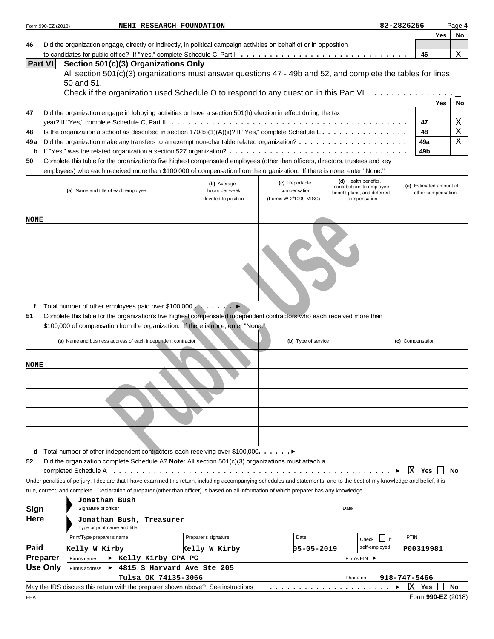| Form 990-EZ (2018) | NEHI RESEARCH FOUNDATION                                                                                                                                                   |                               |                                |            |                                             |               | 82-2826256       |           |                         | Page 4                |
|--------------------|----------------------------------------------------------------------------------------------------------------------------------------------------------------------------|-------------------------------|--------------------------------|------------|---------------------------------------------|---------------|------------------|-----------|-------------------------|-----------------------|
|                    |                                                                                                                                                                            |                               |                                |            |                                             |               |                  |           | Yes                     | No                    |
| 46                 | Did the organization engage, directly or indirectly, in political campaign activities on behalf of or in opposition                                                        |                               |                                |            |                                             |               |                  |           |                         |                       |
|                    |                                                                                                                                                                            |                               |                                |            |                                             |               |                  | 46        |                         | Χ                     |
| <b>Part VI</b>     | Section 501(c)(3) Organizations Only<br>All section 501(c)(3) organizations must answer questions 47 - 49b and 52, and complete the tables for lines                       |                               |                                |            |                                             |               |                  |           |                         |                       |
|                    | 50 and 51.                                                                                                                                                                 |                               |                                |            |                                             |               |                  |           |                         |                       |
|                    | Check if the organization used Schedule O to respond to any question in this Part VI                                                                                       |                               |                                |            |                                             |               |                  |           |                         |                       |
|                    |                                                                                                                                                                            |                               |                                |            |                                             |               |                  |           | <b>Yes</b>              | No                    |
| 47                 | Did the organization engage in lobbying activities or have a section 501(h) election in effect during the tax                                                              |                               |                                |            |                                             |               |                  |           |                         |                       |
|                    |                                                                                                                                                                            |                               |                                |            |                                             |               |                  | 47        |                         | Χ                     |
| 48                 | Is the organization a school as described in section $170(b)(1)(A)(ii)?$ If "Yes," complete Schedule E.                                                                    |                               |                                |            |                                             |               |                  | 48        |                         | $\frac{1}{x}$         |
| 49 a               |                                                                                                                                                                            |                               |                                |            |                                             |               |                  | 49a       |                         | $\overline{\text{X}}$ |
| b                  |                                                                                                                                                                            |                               |                                |            |                                             |               |                  | 49b       |                         |                       |
| 50                 | Complete this table for the organization's five highest compensated employees (other than officers, directors, trustees and key                                            |                               |                                |            |                                             |               |                  |           |                         |                       |
|                    | employees) who each received more than \$100,000 of compensation from the organization. If there is none, enter "None."                                                    |                               |                                |            |                                             |               |                  |           |                         |                       |
|                    |                                                                                                                                                                            |                               |                                |            | (d) Health benefits,                        |               |                  |           |                         |                       |
|                    | (a) Name and title of each employee                                                                                                                                        | (b) Average<br>hours per week | (c) Reportable<br>compensation |            | contributions to employee                   |               |                  |           | (e) Estimated amount of |                       |
|                    |                                                                                                                                                                            | devoted to position           | (Forms W-2/1099-MISC)          |            | benefit plans, and deferred<br>compensation |               |                  |           | other compensation      |                       |
|                    |                                                                                                                                                                            |                               |                                |            |                                             |               |                  |           |                         |                       |
| <b>NONE</b>        |                                                                                                                                                                            |                               |                                |            |                                             |               |                  |           |                         |                       |
|                    |                                                                                                                                                                            |                               |                                |            |                                             |               |                  |           |                         |                       |
|                    |                                                                                                                                                                            |                               |                                |            |                                             |               |                  |           |                         |                       |
|                    |                                                                                                                                                                            |                               |                                |            |                                             |               |                  |           |                         |                       |
|                    |                                                                                                                                                                            |                               |                                |            |                                             |               |                  |           |                         |                       |
|                    |                                                                                                                                                                            |                               |                                |            |                                             |               |                  |           |                         |                       |
|                    |                                                                                                                                                                            |                               |                                |            |                                             |               |                  |           |                         |                       |
|                    |                                                                                                                                                                            |                               |                                |            |                                             |               |                  |           |                         |                       |
|                    |                                                                                                                                                                            |                               |                                |            |                                             |               |                  |           |                         |                       |
|                    |                                                                                                                                                                            |                               |                                |            |                                             |               |                  |           |                         |                       |
|                    |                                                                                                                                                                            |                               |                                |            |                                             |               |                  |           |                         |                       |
| f                  | Total number of other employees paid over \$100,000 ▶                                                                                                                      |                               |                                |            |                                             |               |                  |           |                         |                       |
| 51                 | Complete this table for the organization's five highest compensated independent contractors who each received more than                                                    |                               |                                |            |                                             |               |                  |           |                         |                       |
|                    | \$100,000 of compensation from the organization. If there is none, enter "None."                                                                                           |                               |                                |            |                                             |               |                  |           |                         |                       |
|                    | (a) Name and business address of each independent contractor                                                                                                               |                               | (b) Type of service            |            |                                             |               | (c) Compensation |           |                         |                       |
|                    |                                                                                                                                                                            |                               |                                |            |                                             |               |                  |           |                         |                       |
|                    |                                                                                                                                                                            |                               |                                |            |                                             |               |                  |           |                         |                       |
|                    |                                                                                                                                                                            |                               |                                |            |                                             |               |                  |           |                         |                       |
|                    |                                                                                                                                                                            |                               |                                |            |                                             |               |                  |           |                         |                       |
| <b>NONE</b>        |                                                                                                                                                                            |                               |                                |            |                                             |               |                  |           |                         |                       |
|                    |                                                                                                                                                                            |                               |                                |            |                                             |               |                  |           |                         |                       |
|                    |                                                                                                                                                                            |                               |                                |            |                                             |               |                  |           |                         |                       |
|                    |                                                                                                                                                                            |                               |                                |            |                                             |               |                  |           |                         |                       |
|                    |                                                                                                                                                                            |                               |                                |            |                                             |               |                  |           |                         |                       |
|                    |                                                                                                                                                                            |                               |                                |            |                                             |               |                  |           |                         |                       |
|                    |                                                                                                                                                                            |                               |                                |            |                                             |               |                  |           |                         |                       |
|                    | <b>d</b> Total number of other independent contractors each receiving over \$100,000. $\blacktriangleright$                                                                |                               |                                |            |                                             |               |                  |           |                         |                       |
|                    | Did the organization complete Schedule A? Note: All section 501(c)(3) organizations must attach a                                                                          |                               |                                |            |                                             |               |                  |           |                         |                       |
|                    |                                                                                                                                                                            |                               |                                |            |                                             |               | ΙXΙ              | Yes       |                         | No                    |
|                    | Under penalties of perjury, I declare that I have examined this return, including accompanying schedules and statements, and to the best of my knowledge and belief, it is |                               |                                |            |                                             |               |                  |           |                         |                       |
|                    | true, correct, and complete. Declaration of preparer (other than officer) is based on all information of which preparer has any knowledge.                                 |                               |                                |            |                                             |               |                  |           |                         |                       |
|                    | Jonathan Bush                                                                                                                                                              |                               |                                |            |                                             |               |                  |           |                         |                       |
|                    | Signature of officer                                                                                                                                                       |                               |                                |            | Date                                        |               |                  |           |                         |                       |
|                    | Jonathan Bush, Treasurer                                                                                                                                                   |                               |                                |            |                                             |               |                  |           |                         |                       |
| 52<br>Sign<br>Here | Type or print name and title                                                                                                                                               |                               |                                |            |                                             |               |                  |           |                         |                       |
|                    | Print/Type preparer's name                                                                                                                                                 | Preparer's signature          | Date                           |            |                                             | if<br>Check   | PTIN             |           |                         |                       |
| Paid               | Kelly W Kirby                                                                                                                                                              | Kelly W Kirby                 |                                | 05-05-2019 |                                             | self-employed |                  | P00319981 |                         |                       |
| <b>Preparer</b>    | ▶ Kelly Kirby CPA PC<br>Firm's name                                                                                                                                        |                               |                                |            | Firm's EIN ▶                                |               |                  |           |                         |                       |
|                    | ▶ 4815 S Harvard Ave Ste 205<br>Firm's address                                                                                                                             |                               |                                |            |                                             |               |                  |           |                         |                       |
| <b>Use Only</b>    | Tulsa OK 74135-3066                                                                                                                                                        |                               |                                |            | Phone no.                                   |               | 918-747-5466     |           |                         |                       |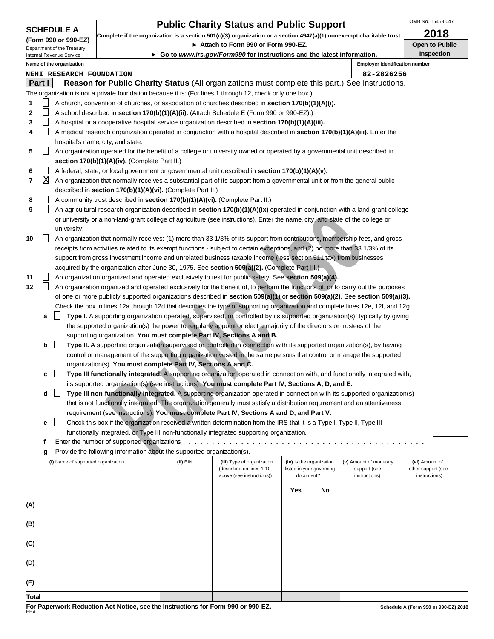| <b>SCHEDULE A</b> |  |  |  |  |  |  |
|-------------------|--|--|--|--|--|--|
|-------------------|--|--|--|--|--|--|

### **Public Charity Status and Public Support**

OMB No. 1545-0047

|  | (Form 990 or 990-EZ)       |  |
|--|----------------------------|--|
|  | Department of the Treasury |  |

**Complete if the organization is a section 501(c)(3) organization or a section 4947(a)(1) nonexempt charitable trust. 2018**

▶ Attach to Form 990 or Form 990-EZ. **Depict on Public** Open to Public **Inspection**

Internal Revenue Service

**Go to www.irs.gov/Form990 for instructions and the latest information.**

|   |               | Name of the organization                                                                                                         | <b>Employer identification number</b> |
|---|---------------|----------------------------------------------------------------------------------------------------------------------------------|---------------------------------------|
|   |               | NEHI RESEARCH FOUNDATION                                                                                                         | 82-2826256                            |
|   | <b>Part I</b> | Reason for Public Charity Status (All organizations must complete this part.) See instructions.                                  |                                       |
|   |               | The organization is not a private foundation because it is: (For lines 1 through 12, check only one box.)                        |                                       |
|   |               | A church, convention of churches, or association of churches described in <b>section 170(b)(1)(A)(i).</b>                        |                                       |
|   |               | A school described in <b>section 170(b)(1)(A)(ii).</b> (Attach Schedule E (Form 990 or 990-EZ).)                                 |                                       |
| 3 |               | A hospital or a cooperative hospital service organization described in <b>section 170(b)(1)(A)(iii).</b>                         |                                       |
| 4 |               | A medical research organization operated in conjunction with a hospital described in <b>section 170(b)(1)(A)(iii).</b> Enter the |                                       |
|   |               | hospital's name, city, and state:                                                                                                |                                       |
| 5 |               | An organization operated for the benefit of a college or university owned or operated by a governmental unit described in        |                                       |
|   |               | section 170(b)(1)(A)(iv). (Complete Part II.)                                                                                    |                                       |
| 6 |               | A federal, state, or local government or governmental unit described in section 170(b)(1)(A)(v).                                 |                                       |
|   | ΙX            | An organization that normally receives a substantial part of its support from a governmental unit or from the general public     |                                       |
|   |               | described in section 170(b)(1)(A)(vi). (Complete Part II.)                                                                       |                                       |
| 8 |               | A community trust described in <b>section 170(b)(1)(A)(vi).</b> (Complete Part II.)                                              |                                       |
| 9 |               | An agricultural research organization described in section 170(b)(1)(A)(ix) operated in conjunction with a land-grant college    |                                       |
|   |               |                                                                                                                                  |                                       |

|       |   | An agricultural research organization described in <b>section Tru(D)(T)(A)(D)</b> operated in conjunction with a land-grant college<br>or university or a non-land-grant college of agriculture (see instructions). Enter the name, city, and state of the college or |          |                            |                          |                          |                        |                    |
|-------|---|-----------------------------------------------------------------------------------------------------------------------------------------------------------------------------------------------------------------------------------------------------------------------|----------|----------------------------|--------------------------|--------------------------|------------------------|--------------------|
|       |   | university:                                                                                                                                                                                                                                                           |          |                            |                          |                          |                        |                    |
| 10    |   | An organization that normally receives: (1) more than 33 1/3% of its support from contributions, membership fees, and gross                                                                                                                                           |          |                            |                          |                          |                        |                    |
|       |   | receipts from activities related to its exempt functions - subject to certain exceptions, and (2) no more than 33 1/3% of its                                                                                                                                         |          |                            |                          |                          |                        |                    |
|       |   | support from gross investment income and unrelated business taxable income (less section 511 tax) from businesses                                                                                                                                                     |          |                            |                          |                          |                        |                    |
|       |   | acquired by the organization after June 30, 1975. See section 509(a)(2). (Complete Part III.)                                                                                                                                                                         |          |                            |                          |                          |                        |                    |
| 11    |   | An organization organized and operated exclusively to test for public safety. See section 509(a)(4).                                                                                                                                                                  |          |                            |                          |                          |                        |                    |
| 12    |   | An organization organized and operated exclusively for the benefit of, to perform the functions of, or to carry out the purposes                                                                                                                                      |          |                            |                          |                          |                        |                    |
|       |   | of one or more publicly supported organizations described in section 509(a)(1) or section 509(a)(2). See section 509(a)(3).                                                                                                                                           |          |                            |                          |                          |                        |                    |
|       |   | Check the box in lines 12a through 12d that describes the type of supporting organization and complete lines 12e, 12f, and 12g.                                                                                                                                       |          |                            |                          |                          |                        |                    |
|       | a | Type I. A supporting organization operated, supervised, or controlled by its supported organization(s), typically by giving                                                                                                                                           |          |                            |                          |                          |                        |                    |
|       |   | the supported organization(s) the power to regularly appoint or elect a majority of the directors or trustees of the                                                                                                                                                  |          |                            |                          |                          |                        |                    |
|       |   | supporting organization. You must complete Part IV, Sections A and B.                                                                                                                                                                                                 |          |                            |                          |                          |                        |                    |
|       | b | Type II. A supporting organization supervised or controlled in connection with its supported organization(s), by having                                                                                                                                               |          |                            |                          |                          |                        |                    |
|       |   | control or management of the supporting organization vested in the same persons that control or manage the supported                                                                                                                                                  |          |                            |                          |                          |                        |                    |
|       |   | organization(s). You must complete Part IV, Sections A and C.                                                                                                                                                                                                         |          |                            |                          |                          |                        |                    |
|       | c | Type III functionally integrated. A supporting organization operated in connection with, and functionally integrated with,                                                                                                                                            |          |                            |                          |                          |                        |                    |
|       |   | its supported organization(s) (see instructions). You must complete Part IV, Sections A, D, and E.                                                                                                                                                                    |          |                            |                          |                          |                        |                    |
|       | d | Type III non-functionally integrated. A supporting organization operated in connection with its supported organization(s)                                                                                                                                             |          |                            |                          |                          |                        |                    |
|       |   | that is not functionally integrated. The organization generally must satisfy a distribution requirement and an attentiveness                                                                                                                                          |          |                            |                          |                          |                        |                    |
|       |   | requirement (see instructions). You must complete Part IV, Sections A and D, and Part V.                                                                                                                                                                              |          |                            |                          |                          |                        |                    |
|       | e | Check this box if the organization received a written determination from the IRS that it is a Type I, Type II, Type III                                                                                                                                               |          |                            |                          |                          |                        |                    |
|       | f | functionally integrated, or Type III non-functionally integrated supporting organization.<br>Enter the number of supported organizations                                                                                                                              |          |                            |                          |                          |                        |                    |
|       |   | Provide the following information about the supported organization(s).                                                                                                                                                                                                |          |                            |                          |                          |                        |                    |
|       | g | (i) Name of supported organization                                                                                                                                                                                                                                    | (ii) EIN | (iii) Type of organization | (iv) Is the organization |                          | (v) Amount of monetary | (vi) Amount of     |
|       |   |                                                                                                                                                                                                                                                                       |          | (described on lines 1-10   |                          | listed in your governing | support (see           | other support (see |
|       |   |                                                                                                                                                                                                                                                                       |          | above (see instructions))  | document?                |                          | instructions)          | instructions)      |
|       |   |                                                                                                                                                                                                                                                                       |          |                            | Yes                      | No                       |                        |                    |
| (A)   |   |                                                                                                                                                                                                                                                                       |          |                            |                          |                          |                        |                    |
|       |   |                                                                                                                                                                                                                                                                       |          |                            |                          |                          |                        |                    |
| (B)   |   |                                                                                                                                                                                                                                                                       |          |                            |                          |                          |                        |                    |
|       |   |                                                                                                                                                                                                                                                                       |          |                            |                          |                          |                        |                    |
| (C)   |   |                                                                                                                                                                                                                                                                       |          |                            |                          |                          |                        |                    |
| (D)   |   |                                                                                                                                                                                                                                                                       |          |                            |                          |                          |                        |                    |
| (E)   |   |                                                                                                                                                                                                                                                                       |          |                            |                          |                          |                        |                    |
| Total |   |                                                                                                                                                                                                                                                                       |          |                            |                          |                          |                        |                    |
|       |   |                                                                                                                                                                                                                                                                       |          |                            |                          |                          |                        |                    |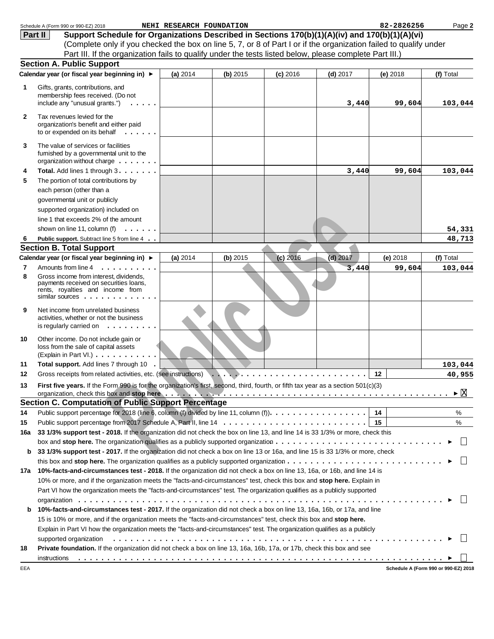|                | Schedule A (Form 990 or 990-EZ) 2018                                                                                                                                                                                           | NEHI RESEARCH FOUNDATION |          |            |            | 82-2826256 | Page 2                               |
|----------------|--------------------------------------------------------------------------------------------------------------------------------------------------------------------------------------------------------------------------------|--------------------------|----------|------------|------------|------------|--------------------------------------|
|                | Support Schedule for Organizations Described in Sections 170(b)(1)(A)(iv) and 170(b)(1)(A)(vi)<br>Part II                                                                                                                      |                          |          |            |            |            |                                      |
|                | (Complete only if you checked the box on line 5, 7, or 8 of Part I or if the organization failed to qualify under                                                                                                              |                          |          |            |            |            |                                      |
|                | Part III. If the organization fails to qualify under the tests listed below, please complete Part III.)                                                                                                                        |                          |          |            |            |            |                                      |
|                | <b>Section A. Public Support</b>                                                                                                                                                                                               |                          |          |            |            |            |                                      |
|                | Calendar year (or fiscal year beginning in) ▶                                                                                                                                                                                  | (a) 2014                 | (b) 2015 | $(c)$ 2016 | $(d)$ 2017 | (e) 2018   | (f) Total                            |
|                |                                                                                                                                                                                                                                |                          |          |            |            |            |                                      |
| 1              | Gifts, grants, contributions, and<br>membership fees received. (Do not                                                                                                                                                         |                          |          |            |            |            |                                      |
|                | include any "unusual grants.")                                                                                                                                                                                                 |                          |          |            | 3,440      | 99,604     | 103,044                              |
|                |                                                                                                                                                                                                                                |                          |          |            |            |            |                                      |
| $\mathbf{2}$   | Tax revenues levied for the                                                                                                                                                                                                    |                          |          |            |            |            |                                      |
|                | organization's benefit and either paid<br>to or expended on its behalf $\dots$                                                                                                                                                 |                          |          |            |            |            |                                      |
|                |                                                                                                                                                                                                                                |                          |          |            |            |            |                                      |
| 3              | The value of services or facilities                                                                                                                                                                                            |                          |          |            |            |            |                                      |
|                | furnished by a governmental unit to the                                                                                                                                                                                        |                          |          |            |            |            |                                      |
|                | organization without charge                                                                                                                                                                                                    |                          |          |            |            |            |                                      |
| 4              | Total. Add lines 1 through 3.                                                                                                                                                                                                  |                          |          |            | 3,440      | 99,604     | 103,044                              |
| 5              | The portion of total contributions by                                                                                                                                                                                          |                          |          |            |            |            |                                      |
|                | each person (other than a                                                                                                                                                                                                      |                          |          |            |            |            |                                      |
|                | governmental unit or publicly                                                                                                                                                                                                  |                          |          |            |            |            |                                      |
|                | supported organization) included on                                                                                                                                                                                            |                          |          |            |            |            |                                      |
|                | line 1 that exceeds 2% of the amount                                                                                                                                                                                           |                          |          |            |            |            |                                      |
|                | shown on line 11, column (f)<br>$\mathbf{r}$ . The set of the set of $\mathbf{r}$                                                                                                                                              |                          |          |            |            |            | 54,331                               |
| 6              | Public support. Subtract line 5 from line 4                                                                                                                                                                                    |                          |          |            |            |            | 48,713                               |
|                | <b>Section B. Total Support</b>                                                                                                                                                                                                |                          |          |            |            |            |                                      |
|                | Calendar year (or fiscal year beginning in) ▶                                                                                                                                                                                  | (a) 2014                 | (b) 2015 | $(c)$ 2016 | $(d)$ 2017 | (e) 2018   | (f) Total                            |
| $\overline{7}$ | Amounts from line 4<br>.                                                                                                                                                                                                       |                          |          |            | 3,440      | 99,604     | 103,044                              |
| 8              | Gross income from interest, dividends,                                                                                                                                                                                         |                          |          |            |            |            |                                      |
|                | payments received on securities loans,                                                                                                                                                                                         |                          |          |            |            |            |                                      |
|                | rents, royalties and income from<br>similar sources $\dots$ , $\dots$ , $\dots$ , $\dots$                                                                                                                                      |                          |          |            |            |            |                                      |
|                |                                                                                                                                                                                                                                |                          |          |            |            |            |                                      |
| 9              | Net income from unrelated business<br>activities, whether or not the business                                                                                                                                                  |                          |          |            |            |            |                                      |
|                | is regularly carried on $\dots \dots \dots$                                                                                                                                                                                    |                          |          |            |            |            |                                      |
|                |                                                                                                                                                                                                                                |                          |          |            |            |            |                                      |
| 10             | Other income. Do not include gain or                                                                                                                                                                                           |                          |          |            |            |            |                                      |
|                | loss from the sale of capital assets<br>(Explain in Part VI.)                                                                                                                                                                  |                          |          |            |            |            |                                      |
| 11             | Total support. Add lines 7 through 10                                                                                                                                                                                          |                          |          |            |            |            |                                      |
| 12             | Gross receipts from related activities, etc. (see instructions)                                                                                                                                                                |                          |          |            |            | 12         | 103,044<br>40,955                    |
|                |                                                                                                                                                                                                                                |                          | .        |            |            |            |                                      |
| 13             | First five years. If the Form 990 is for the organization's first, second, third, fourth, or fifth tax year as a section 501(c)(3)                                                                                             |                          |          |            |            |            | $\blacktriangleright \mathbb{X}$     |
|                | organization, check this box and stop here with a state of the context of the context of the state of the state of the state of the state of the state of the state of the state of the state of the state of the state of the |                          |          |            |            |            |                                      |
|                | <b>Section C. Computation of Public Support Percentage</b>                                                                                                                                                                     |                          |          |            |            |            |                                      |
| 14             | Public support percentage for 2018 (line 6, column (f) divided by line 11, column (f)).                                                                                                                                        |                          |          |            |            | 14         | %                                    |
| 15             |                                                                                                                                                                                                                                |                          |          |            |            |            | %                                    |
| 16a            | 33 1/3% support test - 2018. If the organization did not check the box on line 13, and line 14 is 33 1/3% or more, check this                                                                                                  |                          |          |            |            |            |                                      |
|                |                                                                                                                                                                                                                                |                          |          |            |            |            |                                      |
| b              | 33 1/3% support test - 2017. If the organization did not check a box on line 13 or 16a, and line 15 is 33 1/3% or more, check                                                                                                  |                          |          |            |            |            |                                      |
|                |                                                                                                                                                                                                                                |                          |          |            |            |            |                                      |
| 17a            | 10%-facts-and-circumstances test - 2018. If the organization did not check a box on line 13, 16a, or 16b, and line 14 is                                                                                                       |                          |          |            |            |            |                                      |
|                | 10% or more, and if the organization meets the "facts-and-circumstances" test, check this box and stop here. Explain in                                                                                                        |                          |          |            |            |            |                                      |
|                | Part VI how the organization meets the "facts-and-circumstances" test. The organization qualifies as a publicly supported                                                                                                      |                          |          |            |            |            |                                      |
|                |                                                                                                                                                                                                                                |                          |          |            |            |            |                                      |
| b              | 10%-facts-and-circumstances test - 2017. If the organization did not check a box on line 13, 16a, 16b, or 17a, and line                                                                                                        |                          |          |            |            |            |                                      |
|                | 15 is 10% or more, and if the organization meets the "facts-and-circumstances" test, check this box and stop here.                                                                                                             |                          |          |            |            |            |                                      |
|                | Explain in Part VI how the organization meets the "facts-and-circumstances" test. The organization qualifies as a publicly                                                                                                     |                          |          |            |            |            |                                      |
|                | supported organization education and contact the control of the control of the control of the control of the control organization and contact the control of the control of the control of the control of the control of the c |                          |          |            |            |            |                                      |
| 18             | Private foundation. If the organization did not check a box on line 13, 16a, 16b, 17a, or 17b, check this box and see                                                                                                          |                          |          |            |            |            |                                      |
|                | instructions                                                                                                                                                                                                                   |                          |          |            |            |            |                                      |
| EEA            |                                                                                                                                                                                                                                |                          |          |            |            |            | Schedule A (Form 990 or 990-EZ) 2018 |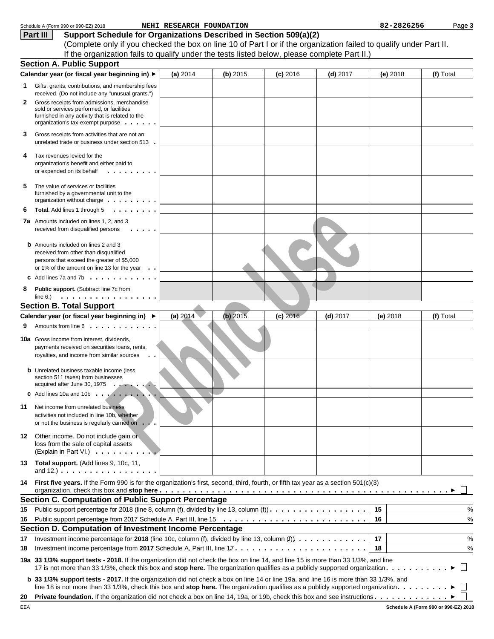|    | Schedule A (Form 990 or 990-EZ) 2018                                                                                                                                              | NEHI RESEARCH FOUNDATION |          |            |            | 82-2826256 | Page 3    |
|----|-----------------------------------------------------------------------------------------------------------------------------------------------------------------------------------|--------------------------|----------|------------|------------|------------|-----------|
|    | Support Schedule for Organizations Described in Section 509(a)(2)<br>Part III                                                                                                     |                          |          |            |            |            |           |
|    | (Complete only if you checked the box on line 10 of Part I or if the organization failed to qualify under Part II.                                                                |                          |          |            |            |            |           |
|    | If the organization fails to qualify under the tests listed below, please complete Part II.)                                                                                      |                          |          |            |            |            |           |
|    | <b>Section A. Public Support</b>                                                                                                                                                  |                          |          |            |            |            |           |
|    | Calendar year (or fiscal year beginning in) ▶                                                                                                                                     | (a) 2014                 | (b) 2015 | $(c)$ 2016 | $(d)$ 2017 | (e) 2018   | (f) Total |
| 1. | Gifts, grants, contributions, and membership fees<br>received. (Do not include any "unusual grants.")                                                                             |                          |          |            |            |            |           |
| 2  | Gross receipts from admissions, merchandise<br>sold or services performed, or facilities<br>furnished in any activity that is related to the<br>organization's tax-exempt purpose |                          |          |            |            |            |           |
| З  | Gross receipts from activities that are not an<br>unrelated trade or business under section 513.                                                                                  |                          |          |            |            |            |           |
| 4  | Tax revenues levied for the<br>organization's benefit and either paid to<br>or expended on its behalf<br>.                                                                        |                          |          |            |            |            |           |
| 5  | The value of services or facilities<br>furnished by a governmental unit to the<br>organization without charge $\dots \dots \dots$                                                 |                          |          |            |            |            |           |
| 6  | Total. Add lines 1 through 5<br>$\cdot$                                                                                                                                           |                          |          |            |            |            |           |
|    | 7a Amounts included on lines 1, 2, and 3<br>received from disqualified persons                                                                                                    |                          |          |            |            |            |           |
|    | <b>b</b> Amounts included on lines 2 and 3<br>received from other than disqualified<br>persons that exceed the greater of \$5,000<br>or 1% of the amount on line 13 for the year  |                          |          |            |            |            |           |
|    | Add lines 7a and 7b $\cdot \cdot \cdot \cdot \cdot \cdot \cdot \cdot \cdot \cdot$                                                                                                 |                          |          |            |            |            |           |
| 8  | Public support. (Subtract line 7c from                                                                                                                                            |                          |          |            |            |            |           |
|    | <b>Section B. Total Support</b>                                                                                                                                                   |                          |          |            |            |            |           |
|    | Calendar year (or fiscal year beginning in) ▶                                                                                                                                     | (a) 2014                 | (b) 2015 | $(c)$ 2016 | $(d)$ 2017 | $(e)$ 2018 | (f) Total |
|    | Amounts from line 6                                                                                                                                                               |                          |          |            |            |            |           |
|    | <b>10a</b> Gross income from interest, dividends,<br>payments received on securities loans, rents,<br>royalties, and income from similar sources                                  |                          |          |            |            |            |           |
|    | <b>b</b> Unrelated business taxable income (less<br>section 511 taxes) from businesses<br>acquired after June 30, 1975                                                            |                          |          |            |            |            |           |
|    | <b>C</b> Add lines 10a and 10b $\ldots$ $\ldots$ $\ldots$ $\ldots$                                                                                                                |                          |          |            |            |            |           |
| 11 | Net income from unrelated business<br>activities not included in line 10b, whether<br>or not the business is regularly carried on<br>$\cdots$                                     |                          |          |            |            |            |           |
| 12 | Other income. Do not include gain or<br>loss from the sale of capital assets<br>(Explain in Part VI.)                                                                             |                          |          |            |            |            |           |
|    | 13 Total support. (Add lines 9, 10c, 11,<br>and $12.$ ) $\ldots$ $\ldots$ $\ldots$ $\ldots$ $\ldots$ $\ldots$ $\ldots$                                                            |                          |          |            |            |            |           |
| 14 | First five years. If the Form 990 is for the organization's first, second, third, fourth, or fifth tax year as a section 501(c)(3)                                                |                          |          |            |            |            |           |
|    | <b>Section C. Computation of Public Support Percentage</b>                                                                                                                        |                          |          |            |            |            |           |
| 15 | Public support percentage for 2018 (line 8, column (f), divided by line 13, column (f)).                                                                                          |                          |          |            |            | 15         | %         |
| 16 |                                                                                                                                                                                   |                          |          |            |            | 16         | $\%$      |
|    | Section D. Computation of Investment Income Percentage                                                                                                                            |                          |          |            |            |            |           |
| 17 |                                                                                                                                                                                   |                          |          |            |            | 17         | $\%$      |
| 18 |                                                                                                                                                                                   |                          |          |            |            | 18         | $\%$      |
|    | 19a 33 1/3% support tests - 2018. If the organization did not check the box on line 14, and line 15 is more than 33 1/3%, and line                                                |                          |          |            |            |            |           |
|    | b 33 1/3% support tests - 2017. If the organization did not check a box on line 14 or line 19a, and line 16 is more than 33 1/3%, and                                             |                          |          |            |            |            |           |
| 20 |                                                                                                                                                                                   |                          |          |            |            |            |           |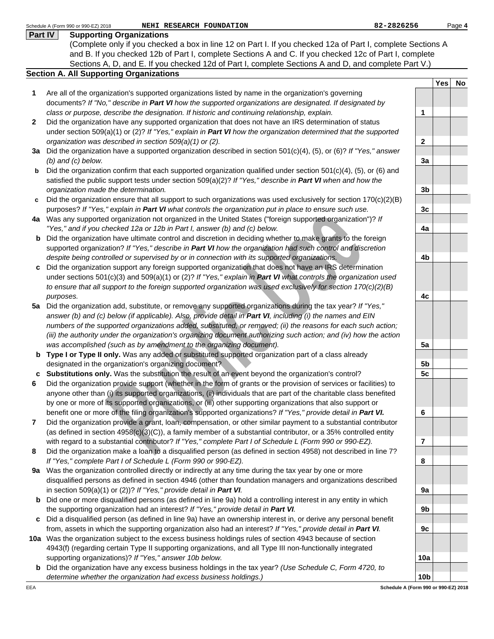|         | 82-2826256<br>Schedule A (Form 990 or 990-EZ) 2018<br>NEHI RESEARCH FOUNDATION                                                                                                           |                         |     | Page 4 |
|---------|------------------------------------------------------------------------------------------------------------------------------------------------------------------------------------------|-------------------------|-----|--------|
| Part IV | <b>Supporting Organizations</b>                                                                                                                                                          |                         |     |        |
|         | (Complete only if you checked a box in line 12 on Part I. If you checked 12a of Part I, complete Sections A                                                                              |                         |     |        |
|         | and B. If you checked 12b of Part I, complete Sections A and C. If you checked 12c of Part I, complete                                                                                   |                         |     |        |
|         | Sections A, D, and E. If you checked 12d of Part I, complete Sections A and D, and complete Part V.)                                                                                     |                         |     |        |
|         | <b>Section A. All Supporting Organizations</b>                                                                                                                                           |                         |     |        |
|         |                                                                                                                                                                                          |                         | Yes | No     |
| 1       | Are all of the organization's supported organizations listed by name in the organization's governing                                                                                     |                         |     |        |
|         | documents? If "No," describe in Part VI how the supported organizations are designated. If designated by                                                                                 |                         |     |        |
|         | class or purpose, describe the designation. If historic and continuing relationship, explain.                                                                                            | 1                       |     |        |
| 2       | Did the organization have any supported organization that does not have an IRS determination of status                                                                                   |                         |     |        |
|         | under section 509(a)(1) or (2)? If "Yes," explain in <b>Part VI</b> how the organization determined that the supported                                                                   |                         |     |        |
|         | organization was described in section 509(a)(1) or (2).                                                                                                                                  | $\mathbf{2}$            |     |        |
|         | 3a Did the organization have a supported organization described in section $501(c)(4)$ , (5), or (6)? If "Yes," answer                                                                   |                         |     |        |
|         | $(b)$ and $(c)$ below.                                                                                                                                                                   | 3a                      |     |        |
| b       | Did the organization confirm that each supported organization qualified under section $501(c)(4)$ , (5), or (6) and                                                                      |                         |     |        |
|         | satisfied the public support tests under section $509(a)(2)?$ If "Yes," describe in Part VI when and how the                                                                             |                         |     |        |
|         | organization made the determination.                                                                                                                                                     | 3 <sub>b</sub>          |     |        |
| c       | Did the organization ensure that all support to such organizations was used exclusively for section $170(c)(2)(B)$                                                                       |                         |     |        |
|         | purposes? If "Yes," explain in Part VI what controls the organization put in place to ensure such use.                                                                                   | 3 <sub>c</sub>          |     |        |
|         | 4a Was any supported organization not organized in the United States ("foreign supported organization")? If<br>"Yes," and if you checked 12a or 12b in Part I, answer (b) and (c) below. | 4a                      |     |        |
| b       | Did the organization have ultimate control and discretion in deciding whether to make grants to the foreign                                                                              |                         |     |        |
|         | supported organization? If "Yes," describe in Part VI how the organization had such control and discretion                                                                               |                         |     |        |
|         | despite being controlled or supervised by or in connection with its supported organizations.                                                                                             | 4b                      |     |        |
| C       | Did the organization support any foreign supported organization that does not have an IRS determination                                                                                  |                         |     |        |
|         | under sections 501(c)(3) and 509(a)(1) or (2)? If "Yes," explain in <b>Part VI</b> what controls the organization used                                                                   |                         |     |        |
|         | to ensure that all support to the foreign supported organization was used exclusively for section 170(c)(2)(B)                                                                           |                         |     |        |
|         | purposes.                                                                                                                                                                                | 4c                      |     |        |
|         | 5a Did the organization add, substitute, or remove any supported organizations during the tax year? If "Yes,"                                                                            |                         |     |        |
|         | answer (b) and (c) below (if applicable). Also, provide detail in Part VI, including (i) the names and EIN                                                                               |                         |     |        |
|         | numbers of the supported organizations added, substituted, or removed; (ii) the reasons for each such action;                                                                            |                         |     |        |
|         | (iii) the authority under the organization's organizing document authorizing such action; and (iv) how the action                                                                        |                         |     |        |
|         | was accomplished (such as by amendment to the organizing document).                                                                                                                      | 5a                      |     |        |
|         | <b>b</b> Type I or Type II only. Was any added or substituted supported organization part of a class already                                                                             |                         |     |        |
|         | designated in the organization's organizing document?                                                                                                                                    | 5b                      |     |        |
|         | c Substitutions only. Was the substitution the result of an event beyond the organization's control?                                                                                     | 5 <sub>c</sub>          |     |        |
|         | Did the organization provide support (whether in the form of grants or the provision of services or facilities) to                                                                       |                         |     |        |
|         | anyone other than (i) its supported organizations, (ii) individuals that are part of the charitable class benefited                                                                      |                         |     |        |
|         | by one or more of its supported organizations, or (iii) other supporting organizations that also support or                                                                              |                         |     |        |
|         | benefit one or more of the filing organization's supported organizations? If "Yes," provide detail in Part VI.                                                                           | 6                       |     |        |
| 7       | Did the organization provide a grant, loan, compensation, or other similar payment to a substantial contributor                                                                          |                         |     |        |
|         | (as defined in section $4958(c)(3)(C)$ ), a family member of a substantial contributor, or a 35% controlled entity                                                                       |                         |     |        |
|         | with regard to a substantial contributor? If "Yes," complete Part I of Schedule L (Form 990 or 990-EZ).                                                                                  | $\overline{\mathbf{r}}$ |     |        |
| 8       | Did the organization make a loan to a disqualified person (as defined in section 4958) not described in line 7?                                                                          |                         |     |        |
|         | If "Yes," complete Part I of Schedule L (Form 990 or 990-EZ).                                                                                                                            | 8                       |     |        |
| 9а      | Was the organization controlled directly or indirectly at any time during the tax year by one or more                                                                                    |                         |     |        |
|         | disqualified persons as defined in section 4946 (other than foundation managers and organizations described                                                                              |                         |     |        |
|         | in section 509(a)(1) or (2))? If "Yes," provide detail in Part VI.                                                                                                                       | 9a                      |     |        |
| b       | Did one or more disqualified persons (as defined in line 9a) hold a controlling interest in any entity in which                                                                          |                         |     |        |
|         | the supporting organization had an interest? If "Yes," provide detail in Part VI.                                                                                                        | 9b                      |     |        |
| C       | Did a disqualified person (as defined in line 9a) have an ownership interest in, or derive any personal benefit                                                                          |                         |     |        |
|         | from, assets in which the supporting organization also had an interest? If "Yes," provide detail in Part VI.                                                                             | 9c                      |     |        |
|         | 10a Was the organization subject to the excess business holdings rules of section 4943 because of section                                                                                |                         |     |        |
|         | 4943(f) (regarding certain Type II supporting organizations, and all Type III non-functionally integrated                                                                                |                         |     |        |
|         | supporting organizations)? If "Yes," answer 10b below.                                                                                                                                   | 10a                     |     |        |
| b       | Did the organization have any excess business holdings in the tax year? (Use Schedule C, Form 4720, to                                                                                   |                         |     |        |
|         | determine whether the organization had excess business holdings.)                                                                                                                        | 10 <sub>b</sub>         |     |        |

**Schedule A (Form 990 or 990-EZ) 2018**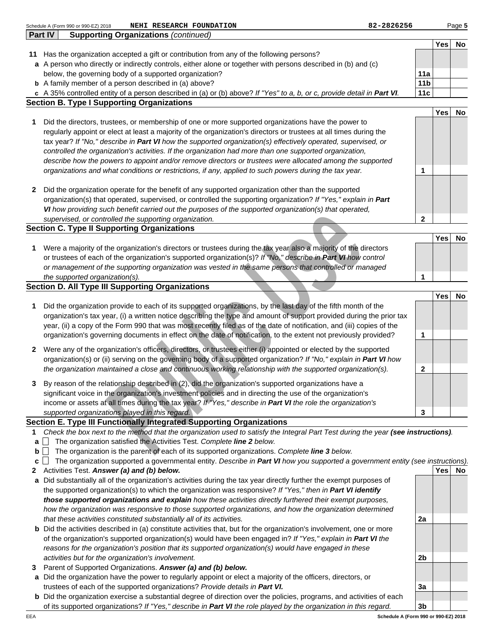|        | Part IV | <b>Supporting Organizations (continued)</b>                                                                                                                                                                                                |                 |     |           |
|--------|---------|--------------------------------------------------------------------------------------------------------------------------------------------------------------------------------------------------------------------------------------------|-----------------|-----|-----------|
| 11     |         | Has the organization accepted a gift or contribution from any of the following persons?                                                                                                                                                    |                 | Yes | No        |
|        |         | a A person who directly or indirectly controls, either alone or together with persons described in (b) and (c)                                                                                                                             |                 |     |           |
|        |         | below, the governing body of a supported organization?                                                                                                                                                                                     | 11a             |     |           |
|        |         | <b>b</b> A family member of a person described in (a) above?                                                                                                                                                                               | 11 <sub>b</sub> |     |           |
|        |         | c A 35% controlled entity of a person described in (a) or (b) above? If "Yes" to a, b, or c, provide detail in Part VI.                                                                                                                    | 11c             |     |           |
|        |         | <b>Section B. Type I Supporting Organizations</b>                                                                                                                                                                                          |                 |     |           |
|        |         |                                                                                                                                                                                                                                            |                 | Yes | No        |
| 1      |         | Did the directors, trustees, or membership of one or more supported organizations have the power to<br>regularly appoint or elect at least a majority of the organization's directors or trustees at all times during the                  |                 |     |           |
|        |         | tax year? If "No," describe in Part VI how the supported organization(s) effectively operated, supervised, or                                                                                                                              |                 |     |           |
|        |         | controlled the organization's activities. If the organization had more than one supported organization,                                                                                                                                    |                 |     |           |
|        |         | describe how the powers to appoint and/or remove directors or trustees were allocated among the supported                                                                                                                                  |                 |     |           |
|        |         | organizations and what conditions or restrictions, if any, applied to such powers during the tax year.                                                                                                                                     | 1               |     |           |
|        |         | Did the organization operate for the benefit of any supported organization other than the supported                                                                                                                                        |                 |     |           |
| 2      |         | organization(s) that operated, supervised, or controlled the supporting organization? If "Yes," explain in Part                                                                                                                            |                 |     |           |
|        |         | VI how providing such benefit carried out the purposes of the supported organization(s) that operated,                                                                                                                                     |                 |     |           |
|        |         | supervised, or controlled the supporting organization.                                                                                                                                                                                     | 2               |     |           |
|        |         | <b>Section C. Type II Supporting Organizations</b>                                                                                                                                                                                         |                 |     |           |
|        |         |                                                                                                                                                                                                                                            |                 | Yes | No        |
| 1      |         | Were a majority of the organization's directors or trustees during the tax year also a majority of the directors                                                                                                                           |                 |     |           |
|        |         | or trustees of each of the organization's supported organization(s)? If "No," describe in Part VI how control<br>or management of the supporting organization was vested in the same persons that controlled or managed                    |                 |     |           |
|        |         | the supported organization(s).                                                                                                                                                                                                             | 1               |     |           |
|        |         | <b>Section D. All Type III Supporting Organizations</b>                                                                                                                                                                                    |                 |     |           |
|        |         |                                                                                                                                                                                                                                            |                 | Yes | No        |
| 1      |         | Did the organization provide to each of its supported organizations, by the last day of the fifth month of the                                                                                                                             |                 |     |           |
|        |         | organization's tax year, (i) a written notice describing the type and amount of support provided during the prior tax                                                                                                                      |                 |     |           |
|        |         | year, (ii) a copy of the Form 990 that was most recently filed as of the date of notification, and (iii) copies of the<br>organization's governing documents in effect on the date of notification, to the extent not previously provided? | 1               |     |           |
|        |         |                                                                                                                                                                                                                                            |                 |     |           |
| 2      |         | Were any of the organization's officers, directors, or trustees either (i) appointed or elected by the supported                                                                                                                           |                 |     |           |
|        |         | organization(s) or (ii) serving on the governing body of a supported organization? If "No," explain in Part VI how<br>the organization maintained a close and continuous working relationship with the supported organization(s).          | 2               |     |           |
|        |         |                                                                                                                                                                                                                                            |                 |     |           |
| 3      |         | By reason of the relationship described in (2), did the organization's supported organizations have a                                                                                                                                      |                 |     |           |
|        |         | significant voice in the organization's investment policies and in directing the use of the organization's<br>income or assets at all times during the tax year? If "Yes," describe in Part VI the role the organization's                 |                 |     |           |
|        |         | supported organizations played in this regard.                                                                                                                                                                                             | 3               |     |           |
|        |         | Section E. Type III Functionally Integrated Supporting Organizations                                                                                                                                                                       |                 |     |           |
| 1      |         | Check the box next to the method that the organization used to satisfy the Integral Part Test during the year (see instructions).                                                                                                          |                 |     |           |
| a      |         | The organization satisfied the Activities Test. Complete line 2 below.                                                                                                                                                                     |                 |     |           |
| b      |         | The organization is the parent of each of its supported organizations. Complete line 3 below.                                                                                                                                              |                 |     |           |
| c<br>2 | $\perp$ | The organization supported a governmental entity. Describe in Part VI how you supported a government entity (see instructions).<br>Activities Test. Answer (a) and (b) below.                                                              |                 | Yes | <b>No</b> |
|        |         | a Did substantially all of the organization's activities during the tax year directly further the exempt purposes of                                                                                                                       |                 |     |           |
|        |         | the supported organization(s) to which the organization was responsive? If "Yes," then in Part VI identify                                                                                                                                 |                 |     |           |
|        |         | those supported organizations and explain how these activities directly furthered their exempt purposes,                                                                                                                                   |                 |     |           |
|        |         | how the organization was responsive to those supported organizations, and how the organization determined                                                                                                                                  |                 |     |           |
|        |         | that these activities constituted substantially all of its activities.                                                                                                                                                                     | 2a              |     |           |
|        |         | <b>b</b> Did the activities described in (a) constitute activities that, but for the organization's involvement, one or more                                                                                                               |                 |     |           |
|        |         | of the organization's supported organization(s) would have been engaged in? If "Yes," explain in Part VI the<br>reasons for the organization's position that its supported organization(s) would have engaged in these                     |                 |     |           |
|        |         | activities but for the organization's involvement.                                                                                                                                                                                         | 2b              |     |           |
| 3      |         | Parent of Supported Organizations. Answer (a) and (b) below.                                                                                                                                                                               |                 |     |           |
|        |         | a Did the organization have the power to regularly appoint or elect a majority of the officers, directors, or                                                                                                                              |                 |     |           |
|        |         | trustees of each of the supported organizations? Provide details in Part VI.                                                                                                                                                               | За              |     |           |
|        |         | <b>b</b> Did the organization exercise a substantial degree of direction over the policies, programs, and activities of each                                                                                                               |                 |     |           |
|        |         | of its supported organizations? If "Yes," describe in Part VI the role played by the organization in this regard.                                                                                                                          | 3b              |     |           |

Schedule A (Form 990 or 990-EZ) 2018 **NEHI RESEARCH FOUNDATION 82-2826256**

Page **5**

**Schedule A (Form 990 or 990-EZ) 2018**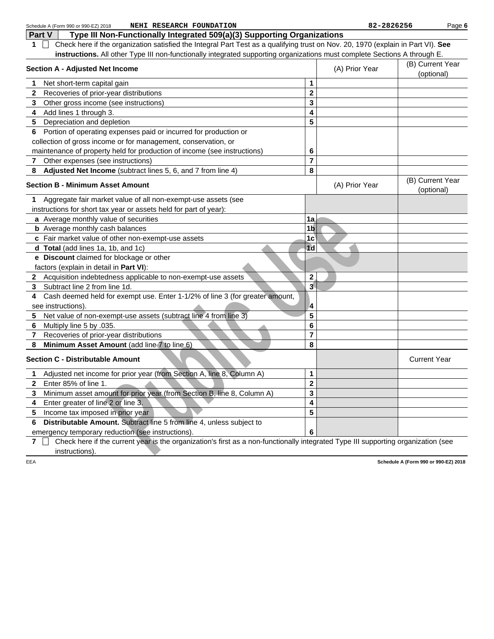|              | NEHI RESEARCH FOUNDATION<br>Schedule A (Form 990 or 990-EZ) 2018                                                                  |                  | 82-2826256     |                                      | Page 6                         |
|--------------|-----------------------------------------------------------------------------------------------------------------------------------|------------------|----------------|--------------------------------------|--------------------------------|
|              | Type III Non-Functionally Integrated 509(a)(3) Supporting Organizations<br>Part V                                                 |                  |                |                                      |                                |
| 1.           | Check here if the organization satisfied the Integral Part Test as a qualifying trust on Nov. 20, 1970 (explain in Part VI). See  |                  |                |                                      |                                |
|              | instructions. All other Type III non-functionally integrated supporting organizations must complete Sections A through E.         |                  |                |                                      |                                |
|              | <b>Section A - Adjusted Net Income</b>                                                                                            |                  | (A) Prior Year |                                      | (B) Current Year<br>(optional) |
| 1            | Net short-term capital gain                                                                                                       | 1                |                |                                      |                                |
| 2            | Recoveries of prior-year distributions                                                                                            | $\mathbf 2$      |                |                                      |                                |
| 3            | Other gross income (see instructions)                                                                                             | 3                |                |                                      |                                |
| 4            | Add lines 1 through 3.                                                                                                            | 4                |                |                                      |                                |
| 5            | Depreciation and depletion                                                                                                        | 5                |                |                                      |                                |
| 6            | Portion of operating expenses paid or incurred for production or                                                                  |                  |                |                                      |                                |
|              | collection of gross income or for management, conservation, or                                                                    |                  |                |                                      |                                |
|              | maintenance of property held for production of income (see instructions)                                                          | 6                |                |                                      |                                |
| $\mathbf{7}$ | Other expenses (see instructions)                                                                                                 | $\overline{7}$   |                |                                      |                                |
| 8            | Adjusted Net Income (subtract lines 5, 6, and 7 from line 4)                                                                      | 8                |                |                                      |                                |
|              | <b>Section B - Minimum Asset Amount</b>                                                                                           |                  | (A) Prior Year |                                      | (B) Current Year<br>(optional) |
| 1            | Aggregate fair market value of all non-exempt-use assets (see                                                                     |                  |                |                                      |                                |
|              | instructions for short tax year or assets held for part of year):                                                                 |                  |                |                                      |                                |
|              | a Average monthly value of securities                                                                                             | 1a               |                |                                      |                                |
|              | <b>b</b> Average monthly cash balances                                                                                            | 1 <sub>b</sub>   |                |                                      |                                |
|              | c Fair market value of other non-exempt-use assets                                                                                | 1c               |                |                                      |                                |
|              | d Total (add lines 1a, 1b, and 1c)                                                                                                | 1 <sub>d</sub>   |                |                                      |                                |
|              | e Discount claimed for blockage or other                                                                                          |                  |                |                                      |                                |
|              | factors (explain in detail in Part VI):                                                                                           |                  |                |                                      |                                |
|              | 2 Acquisition indebtedness applicable to non-exempt-use assets                                                                    | $\overline{2}$   |                |                                      |                                |
| 3            | Subtract line 2 from line 1d.                                                                                                     | $\bar{3}$        |                |                                      |                                |
| 4            | Cash deemed held for exempt use. Enter 1-1/2% of line 3 (for greater amount,                                                      |                  |                |                                      |                                |
|              | see instructions).                                                                                                                | $\boldsymbol{A}$ |                |                                      |                                |
| 5            | Net value of non-exempt-use assets (subtract line 4 from line 3)                                                                  | 5                |                |                                      |                                |
| 6            | Multiply line 5 by .035.                                                                                                          | 6                |                |                                      |                                |
| 7            | Recoveries of prior-year distributions                                                                                            | $\overline{7}$   |                |                                      |                                |
| 8            | Minimum Asset Amount (add line 7 to line 6)                                                                                       | 8                |                |                                      |                                |
|              | <b>Section C - Distributable Amount</b>                                                                                           |                  |                | <b>Current Year</b>                  |                                |
| 1            | Adjusted net income for prior year (from Section A, line 8, Column A)                                                             | 1                |                |                                      |                                |
| 2            | Enter 85% of line 1.                                                                                                              | $\bf{2}$         |                |                                      |                                |
| 3            | Minimum asset amount for prior year (from Section B, line 8, Column A)                                                            | 3                |                |                                      |                                |
| 4            | Enter greater of line 2 or line 3.                                                                                                | 4                |                |                                      |                                |
| 5            | Income tax imposed in prior year                                                                                                  | 5                |                |                                      |                                |
| 6            | Distributable Amount. Subtract line 5 from line 4, unless subject to                                                              |                  |                |                                      |                                |
|              | emergency temporary reduction (see instructions).                                                                                 | 6                |                |                                      |                                |
| 7            | Check here if the current year is the organization's first as a non-functionally integrated Type III supporting organization (see |                  |                |                                      |                                |
|              | instructions).                                                                                                                    |                  |                |                                      |                                |
| EEA          |                                                                                                                                   |                  |                | Schedule A (Form 990 or 990-EZ) 2018 |                                |
|              |                                                                                                                                   |                  |                |                                      |                                |
|              |                                                                                                                                   |                  |                |                                      |                                |
|              |                                                                                                                                   |                  |                |                                      |                                |
|              |                                                                                                                                   |                  |                |                                      |                                |
|              |                                                                                                                                   |                  |                |                                      |                                |
|              |                                                                                                                                   |                  |                |                                      |                                |
|              |                                                                                                                                   |                  |                |                                      |                                |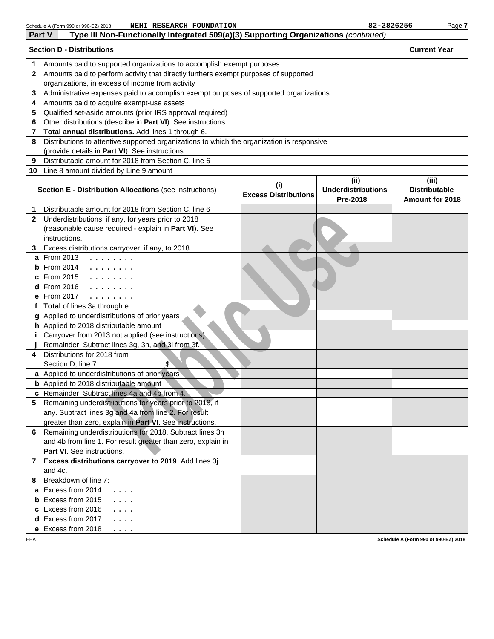|               | NEHI RESEARCH FOUNDATION<br>Schedule A (Form 990 or 990-EZ) 2018                                                                                                    |                                    | 82-2826256                                    | Page 7                                           |
|---------------|---------------------------------------------------------------------------------------------------------------------------------------------------------------------|------------------------------------|-----------------------------------------------|--------------------------------------------------|
| <b>Part V</b> | Type III Non-Functionally Integrated 509(a)(3) Supporting Organizations (continued)                                                                                 |                                    |                                               |                                                  |
|               | <b>Section D - Distributions</b>                                                                                                                                    |                                    |                                               | <b>Current Year</b>                              |
| 1             | Amounts paid to supported organizations to accomplish exempt purposes                                                                                               |                                    |                                               |                                                  |
| $\mathbf{2}$  | Amounts paid to perform activity that directly furthers exempt purposes of supported                                                                                |                                    |                                               |                                                  |
|               | organizations, in excess of income from activity                                                                                                                    |                                    |                                               |                                                  |
| 3             | Administrative expenses paid to accomplish exempt purposes of supported organizations                                                                               |                                    |                                               |                                                  |
| 4             | Amounts paid to acquire exempt-use assets                                                                                                                           |                                    |                                               |                                                  |
| 5             | Qualified set-aside amounts (prior IRS approval required)                                                                                                           |                                    |                                               |                                                  |
| 6             | Other distributions (describe in Part VI). See instructions.                                                                                                        |                                    |                                               |                                                  |
| 7             | Total annual distributions. Add lines 1 through 6.                                                                                                                  |                                    |                                               |                                                  |
| 8             | Distributions to attentive supported organizations to which the organization is responsive                                                                          |                                    |                                               |                                                  |
|               | (provide details in Part VI). See instructions.                                                                                                                     |                                    |                                               |                                                  |
| 9             | Distributable amount for 2018 from Section C, line 6                                                                                                                |                                    |                                               |                                                  |
|               | 10 Line 8 amount divided by Line 9 amount                                                                                                                           |                                    |                                               |                                                  |
|               | <b>Section E - Distribution Allocations (see instructions)</b>                                                                                                      | (i)<br><b>Excess Distributions</b> | (ii)<br><b>Underdistributions</b><br>Pre-2018 | (iii)<br><b>Distributable</b><br>Amount for 2018 |
| 1.            | Distributable amount for 2018 from Section C, line 6                                                                                                                |                                    |                                               |                                                  |
| $\mathbf{2}$  | Underdistributions, if any, for years prior to 2018                                                                                                                 |                                    |                                               |                                                  |
|               | (reasonable cause required - explain in Part VI). See                                                                                                               |                                    |                                               |                                                  |
|               | instructions.                                                                                                                                                       |                                    |                                               |                                                  |
| 3.            | Excess distributions carryover, if any, to 2018                                                                                                                     |                                    |                                               |                                                  |
|               | a From 2013<br>.                                                                                                                                                    |                                    |                                               |                                                  |
|               | <b>b</b> From 2014<br>.                                                                                                                                             |                                    |                                               |                                                  |
|               | c From 2015<br>.                                                                                                                                                    |                                    |                                               |                                                  |
|               | d From 2016<br>.                                                                                                                                                    |                                    |                                               |                                                  |
|               | e From 2017<br>$\mathbf{1} \cdot \mathbf{1} \cdot \mathbf{1} \cdot \mathbf{1} \cdot \mathbf{1} \cdot \mathbf{1} \cdot \mathbf{1} \cdot \mathbf{1} \cdot \mathbf{1}$ |                                    |                                               |                                                  |
|               | f Total of lines 3a through e                                                                                                                                       |                                    |                                               |                                                  |
|               | g Applied to underdistributions of prior years                                                                                                                      |                                    |                                               |                                                  |
|               | h Applied to 2018 distributable amount                                                                                                                              |                                    |                                               |                                                  |
|               | <i>i</i> Carryover from 2013 not applied (see instructions)                                                                                                         |                                    |                                               |                                                  |
|               | Remainder. Subtract lines 3g, 3h, and 3i from 3f.                                                                                                                   |                                    |                                               |                                                  |
| 4             | Distributions for 2018 from                                                                                                                                         |                                    |                                               |                                                  |
|               | Section D, line 7:<br>\$<br>a Applied to underdistributions of prior years                                                                                          |                                    |                                               |                                                  |
|               | <b>b</b> Applied to 2018 distributable amount                                                                                                                       |                                    |                                               |                                                  |
|               | c Remainder. Subtract lines 4a and 4b from 4.                                                                                                                       |                                    |                                               |                                                  |
|               | 5 Remaining underdistributions for years prior to 2018, if                                                                                                          |                                    |                                               |                                                  |
|               | any. Subtract lines 3g and 4a from line 2. For result                                                                                                               |                                    |                                               |                                                  |
|               | greater than zero, explain in Part VI. See instructions.                                                                                                            |                                    |                                               |                                                  |
| 6.            | Remaining underdistributions for 2018. Subtract lines 3h                                                                                                            |                                    |                                               |                                                  |
|               | and 4b from line 1. For result greater than zero, explain in                                                                                                        |                                    |                                               |                                                  |
|               | <b>Part VI.</b> See instructions.                                                                                                                                   |                                    |                                               |                                                  |
| 7             | Excess distributions carryover to 2019. Add lines 3j                                                                                                                |                                    |                                               |                                                  |
|               | and 4c.                                                                                                                                                             |                                    |                                               |                                                  |
| 8             | Breakdown of line 7:                                                                                                                                                |                                    |                                               |                                                  |
|               | a Excess from 2014<br>$\cdots$                                                                                                                                      |                                    |                                               |                                                  |
|               | <b>b</b> Excess from 2015<br>$\cdots$                                                                                                                               |                                    |                                               |                                                  |
|               | c Excess from 2016<br>.                                                                                                                                             |                                    |                                               |                                                  |
|               | d Excess from 2017<br>.                                                                                                                                             |                                    |                                               |                                                  |
|               | e Excess from 2018<br>.                                                                                                                                             |                                    |                                               |                                                  |
| EEA           |                                                                                                                                                                     |                                    |                                               | Schedule A (Form 990 or 990-EZ) 2018             |

**Schedule A (Form 990 or 990-EZ) 2018**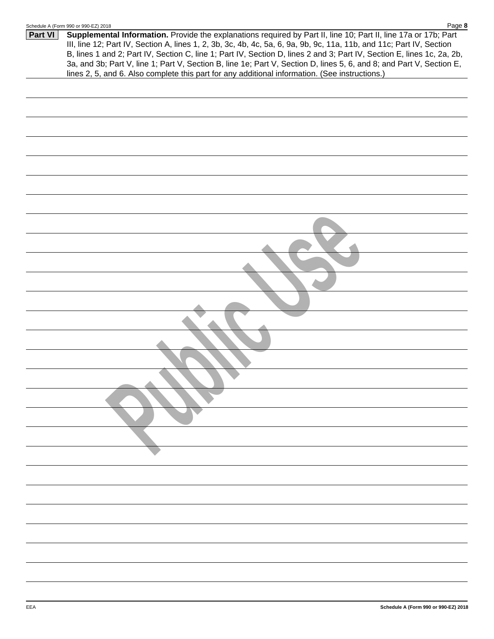|--|--|--|--|

| Part VI | Supplemental Information. Provide the explanations required by Part II, line 10; Part II, line 17a or 17b; Part        |  |
|---------|------------------------------------------------------------------------------------------------------------------------|--|
|         | III, line 12; Part IV, Section A, lines 1, 2, 3b, 3c, 4b, 4c, 5a, 6, 9a, 9b, 9c, 11a, 11b, and 11c; Part IV, Section   |  |
|         | B, lines 1 and 2; Part IV, Section C, line 1; Part IV, Section D, lines 2 and 3; Part IV, Section E, lines 1c, 2a, 2b, |  |
|         | 3a, and 3b; Part V, line 1; Part V, Section B, line 1e; Part V, Section D, lines 5, 6, and 8; and Part V, Section E,   |  |
|         | lines 2, 5, and 6. Also complete this part for any additional information. (See instructions.)                         |  |
|         |                                                                                                                        |  |
|         |                                                                                                                        |  |
|         |                                                                                                                        |  |
|         |                                                                                                                        |  |
|         |                                                                                                                        |  |
|         |                                                                                                                        |  |
|         |                                                                                                                        |  |
|         |                                                                                                                        |  |
|         |                                                                                                                        |  |
|         |                                                                                                                        |  |
|         |                                                                                                                        |  |
|         |                                                                                                                        |  |
|         |                                                                                                                        |  |
|         |                                                                                                                        |  |
|         |                                                                                                                        |  |
|         |                                                                                                                        |  |
|         |                                                                                                                        |  |
|         |                                                                                                                        |  |
|         |                                                                                                                        |  |
|         |                                                                                                                        |  |
|         |                                                                                                                        |  |
|         |                                                                                                                        |  |
|         |                                                                                                                        |  |
|         |                                                                                                                        |  |
|         |                                                                                                                        |  |
|         |                                                                                                                        |  |
|         |                                                                                                                        |  |
|         |                                                                                                                        |  |
|         |                                                                                                                        |  |
|         |                                                                                                                        |  |
|         |                                                                                                                        |  |
|         |                                                                                                                        |  |
|         |                                                                                                                        |  |
|         |                                                                                                                        |  |
|         |                                                                                                                        |  |
|         |                                                                                                                        |  |
|         |                                                                                                                        |  |
|         |                                                                                                                        |  |
|         |                                                                                                                        |  |
|         |                                                                                                                        |  |
|         |                                                                                                                        |  |
|         |                                                                                                                        |  |
|         |                                                                                                                        |  |
|         |                                                                                                                        |  |
|         |                                                                                                                        |  |
|         |                                                                                                                        |  |
|         |                                                                                                                        |  |
|         |                                                                                                                        |  |
|         |                                                                                                                        |  |
|         |                                                                                                                        |  |
|         |                                                                                                                        |  |
|         |                                                                                                                        |  |
|         |                                                                                                                        |  |
|         |                                                                                                                        |  |
| EEA     | Schedule A (Form 990 or 990-EZ) 2018                                                                                   |  |
|         |                                                                                                                        |  |
|         |                                                                                                                        |  |
|         |                                                                                                                        |  |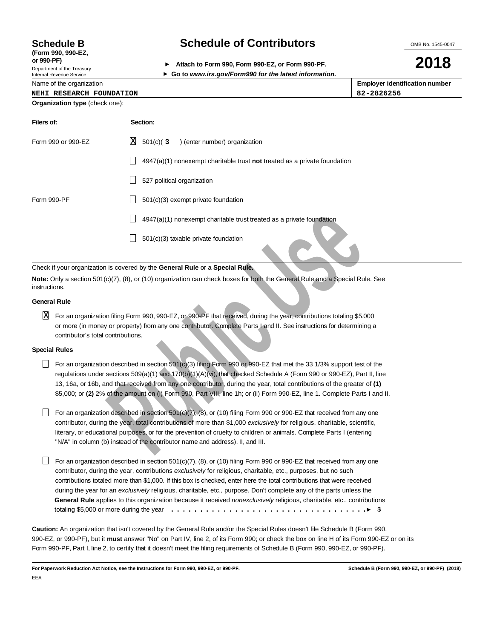# **(Form 990, 990-EZ,**

Department of the Treasury Internal Revenue Service

## **Schedule B Schedule of Contributors**

**or 990-PF) Attach to Form 990, Form 990-EZ, or Form 990-PF.**

**Go to www.irs.gov/Form990 for the latest information.**

Name of the organization

| <b>Employer identification number</b> |  |
|---------------------------------------|--|
| 82-2826256                            |  |

**2018**

OMB No. 1545-0047

#### **NEHI RESEARCH FOUNDATION 82-2826256**

| Organization type (check one): |                                                                           |
|--------------------------------|---------------------------------------------------------------------------|
| Filers of:                     | Section:                                                                  |
| Form 990 or 990-EZ             | X<br>$501(c)$ (3<br>) (enter number) organization                         |
|                                | 4947(a)(1) nonexempt charitable trust not treated as a private foundation |
|                                | 527 political organization                                                |
| Form 990-PF                    | 501(c)(3) exempt private foundation                                       |
|                                | 4947(a)(1) nonexempt charitable trust treated as a private foundation     |
|                                | 501(c)(3) taxable private foundation                                      |

Check if your organization is covered by the **General Rule** or a **Special Rule.**

**Note:** Only a section 501(c)(7), (8), or (10) organization can check boxes for both the General Rule and a Special Rule. See instructions.

#### **General Rule**

 $\overline{\rm X}$  For an organization filing Form 990, 990-EZ, or 990-PF that received, during the year, contributions totaling \$5,000 or more (in money or property) from any one contributor. Complete Parts I and II. See instructions for determining a contributor's total contributions.

#### **Special Rules**

- For an organization described in section  $501(c)(3)$  filing Form 990 or 990-EZ that met the 33 1/3% support test of the regulations under sections 509(a)(1) and 170(b)(1)(A)(vi), that checked Schedule A (Form 990 or 990-EZ), Part II, line 13, 16a, or 16b, and that received from any one contributor, during the year, total contributions of the greater of **(1)** \$5,000; or **(2)** 2% of the amount on (i) Form 990, Part VIII, line 1h; or (ii) Form 990-EZ, line 1. Complete Parts I and II.
- For an organization described in section  $501(c)(7)$ ,  $(8)$ , or (10) filing Form 990 or 990-EZ that received from any one contributor, during the year, total contributions of more than \$1,000 exclusively for religious, charitable, scientific, literary, or educational purposes, or for the prevention of cruelty to children or animals. Complete Parts I (entering "N/A" in column (b) instead of the contributor name and address), II, and III.
- **14947(a)(1)** nonexempt charitable trust treated as a private foundation<br> **14947(a)(1)** nonexempt charitable trust treated as a private foundation<br>
anization is covered by the General Rule or a Special Rule<br>
anization fili For an organization described in section 501(c)(7), (8), or (10) filing Form 990 or 990-EZ that received from any one contributor, during the year, contributions exclusively for religious, charitable, etc., purposes, but no such contributions totaled more than \$1,000. If this box is checked, enter here the total contributions that were received during the year for an exclusively religious, charitable, etc., purpose. Don't complete any of the parts unless the **General Rule** applies to this organization because it received nonexclusively religious, charitable, etc., contributions totaling \$5,000 or more during the year  $\dots\dots\dots\dots\dots\dots\dots\dots\dots\dots\dots\dots\dots\dots\dots\dots$

**Caution:** An organization that isn't covered by the General Rule and/or the Special Rules doesn't file Schedule B (Form 990, 990-EZ, or 990-PF), but it **must** answer "No" on Part IV, line 2, of its Form 990; or check the box on line H of its Form 990-EZ or on its Form 990-PF, Part I, line 2, to certify that it doesn't meet the filing requirements of Schedule B (Form 990, 990-EZ, or 990-PF).

**For Paperwork Reduction Act Notice, see the Instructions for Form 990, 990-EZ, or 990-PF. Schedule B (Form 990, 990-EZ, or 990-PF) (2018)** EEA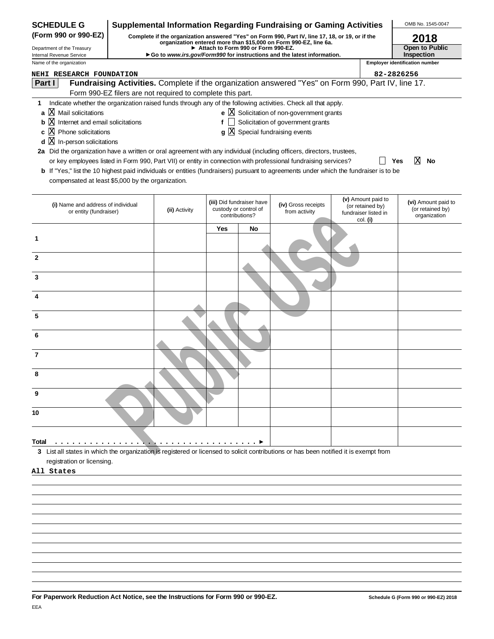| <b>SCHEDULE G</b>                                                                                                                                                   | <b>Supplemental Information Regarding Fundraising or Gaming Activities</b>                                                                                          |                                                            |     |                                                                      |                                                                                                                |                                       |                                                                | OMB No. 1545-0047                                       |  |
|---------------------------------------------------------------------------------------------------------------------------------------------------------------------|---------------------------------------------------------------------------------------------------------------------------------------------------------------------|------------------------------------------------------------|-----|----------------------------------------------------------------------|----------------------------------------------------------------------------------------------------------------|---------------------------------------|----------------------------------------------------------------|---------------------------------------------------------|--|
| (Form 990 or 990-EZ)                                                                                                                                                | Complete if the organization answered "Yes" on Form 990, Part IV, line 17, 18, or 19, or if the<br>organization entered more than \$15,000 on Form 990-EZ, line 6a. |                                                            |     |                                                                      |                                                                                                                |                                       | 2018                                                           |                                                         |  |
| Department of the Treasury<br>Internal Revenue Service                                                                                                              |                                                                                                                                                                     |                                                            |     | Attach to Form 990 or Form 990-EZ.                                   | ► Go to www.irs.gov/Form990 for instructions and the latest information.                                       |                                       |                                                                | Open to Public<br>Inspection                            |  |
| Name of the organization                                                                                                                                            |                                                                                                                                                                     |                                                            |     |                                                                      |                                                                                                                | <b>Employer identification number</b> |                                                                |                                                         |  |
| <b>NEHI RESEARCH FOUNDATION</b>                                                                                                                                     |                                                                                                                                                                     |                                                            |     |                                                                      |                                                                                                                | 82-2826256                            |                                                                |                                                         |  |
| Part I                                                                                                                                                              |                                                                                                                                                                     |                                                            |     |                                                                      | Fundraising Activities. Complete if the organization answered "Yes" on Form 990, Part IV, line 17.             |                                       |                                                                |                                                         |  |
|                                                                                                                                                                     |                                                                                                                                                                     | Form 990-EZ filers are not required to complete this part. |     |                                                                      |                                                                                                                |                                       |                                                                |                                                         |  |
| 1.                                                                                                                                                                  |                                                                                                                                                                     |                                                            |     |                                                                      | Indicate whether the organization raised funds through any of the following activities. Check all that apply.  |                                       |                                                                |                                                         |  |
| a  X Mail solicitations                                                                                                                                             |                                                                                                                                                                     |                                                            |     |                                                                      | e $X$ Solicitation of non-government grants                                                                    |                                       |                                                                |                                                         |  |
| $\mathbf b$ $\mathbf X$ Internet and email solicitations                                                                                                            |                                                                                                                                                                     |                                                            | f   |                                                                      | Solicitation of government grants                                                                              |                                       |                                                                |                                                         |  |
| c $X$ Phone solicitations                                                                                                                                           |                                                                                                                                                                     |                                                            |     |                                                                      | $g\bar{X}$ Special fundraising events                                                                          |                                       |                                                                |                                                         |  |
| $X$ In-person solicitations<br>d                                                                                                                                    |                                                                                                                                                                     |                                                            |     |                                                                      |                                                                                                                |                                       |                                                                |                                                         |  |
| 2a Did the organization have a written or oral agreement with any individual (including officers, directors, trustees,                                              |                                                                                                                                                                     |                                                            |     |                                                                      | or key employees listed in Form 990, Part VII) or entity in connection with professional fundraising services? |                                       |                                                                | ΙX<br>Yes<br>No                                         |  |
| b If "Yes," list the 10 highest paid individuals or entities (fundraisers) pursuant to agreements under which the fundraiser is to be                               |                                                                                                                                                                     |                                                            |     |                                                                      |                                                                                                                |                                       |                                                                |                                                         |  |
| compensated at least \$5,000 by the organization.                                                                                                                   |                                                                                                                                                                     |                                                            |     |                                                                      |                                                                                                                |                                       |                                                                |                                                         |  |
|                                                                                                                                                                     |                                                                                                                                                                     |                                                            |     |                                                                      |                                                                                                                |                                       |                                                                |                                                         |  |
| (i) Name and address of individual<br>or entity (fundraiser)                                                                                                        |                                                                                                                                                                     | (ii) Activity                                              |     | (iii) Did fundraiser have<br>custody or control of<br>contributions? | (iv) Gross receipts<br>from activity                                                                           |                                       | (v) Amount paid to<br>(or retained by)<br>fundraiser listed in | (vi) Amount paid to<br>(or retained by)<br>organization |  |
|                                                                                                                                                                     |                                                                                                                                                                     |                                                            | Yes | No                                                                   |                                                                                                                |                                       | col. (i)                                                       |                                                         |  |
|                                                                                                                                                                     |                                                                                                                                                                     |                                                            |     |                                                                      |                                                                                                                |                                       |                                                                |                                                         |  |
| $\mathbf{2}$                                                                                                                                                        |                                                                                                                                                                     |                                                            |     |                                                                      |                                                                                                                |                                       |                                                                |                                                         |  |
| 3                                                                                                                                                                   |                                                                                                                                                                     |                                                            |     |                                                                      |                                                                                                                |                                       |                                                                |                                                         |  |
|                                                                                                                                                                     |                                                                                                                                                                     |                                                            |     |                                                                      |                                                                                                                |                                       |                                                                |                                                         |  |
| 5                                                                                                                                                                   |                                                                                                                                                                     |                                                            |     |                                                                      |                                                                                                                |                                       |                                                                |                                                         |  |
| 6                                                                                                                                                                   |                                                                                                                                                                     |                                                            |     |                                                                      |                                                                                                                |                                       |                                                                |                                                         |  |
| 7                                                                                                                                                                   |                                                                                                                                                                     |                                                            |     |                                                                      |                                                                                                                |                                       |                                                                |                                                         |  |
| 8                                                                                                                                                                   |                                                                                                                                                                     |                                                            |     |                                                                      |                                                                                                                |                                       |                                                                |                                                         |  |
| 9                                                                                                                                                                   |                                                                                                                                                                     |                                                            |     |                                                                      |                                                                                                                |                                       |                                                                |                                                         |  |
| 10                                                                                                                                                                  |                                                                                                                                                                     |                                                            |     |                                                                      |                                                                                                                |                                       |                                                                |                                                         |  |
|                                                                                                                                                                     |                                                                                                                                                                     |                                                            |     |                                                                      |                                                                                                                |                                       |                                                                |                                                         |  |
| Total                                                                                                                                                               |                                                                                                                                                                     |                                                            |     |                                                                      |                                                                                                                |                                       |                                                                |                                                         |  |
| 3 List all states in which the organization is registered or licensed to solicit contributions or has been notified it is exempt from<br>registration or licensing. |                                                                                                                                                                     |                                                            |     |                                                                      |                                                                                                                |                                       |                                                                |                                                         |  |
| All States                                                                                                                                                          |                                                                                                                                                                     |                                                            |     |                                                                      |                                                                                                                |                                       |                                                                |                                                         |  |
|                                                                                                                                                                     |                                                                                                                                                                     |                                                            |     |                                                                      |                                                                                                                |                                       |                                                                |                                                         |  |
|                                                                                                                                                                     |                                                                                                                                                                     |                                                            |     |                                                                      |                                                                                                                |                                       |                                                                |                                                         |  |
|                                                                                                                                                                     |                                                                                                                                                                     |                                                            |     |                                                                      |                                                                                                                |                                       |                                                                |                                                         |  |
|                                                                                                                                                                     |                                                                                                                                                                     |                                                            |     |                                                                      |                                                                                                                |                                       |                                                                |                                                         |  |
|                                                                                                                                                                     |                                                                                                                                                                     |                                                            |     |                                                                      |                                                                                                                |                                       |                                                                |                                                         |  |
|                                                                                                                                                                     |                                                                                                                                                                     |                                                            |     |                                                                      |                                                                                                                |                                       |                                                                |                                                         |  |
|                                                                                                                                                                     |                                                                                                                                                                     |                                                            |     |                                                                      |                                                                                                                |                                       |                                                                |                                                         |  |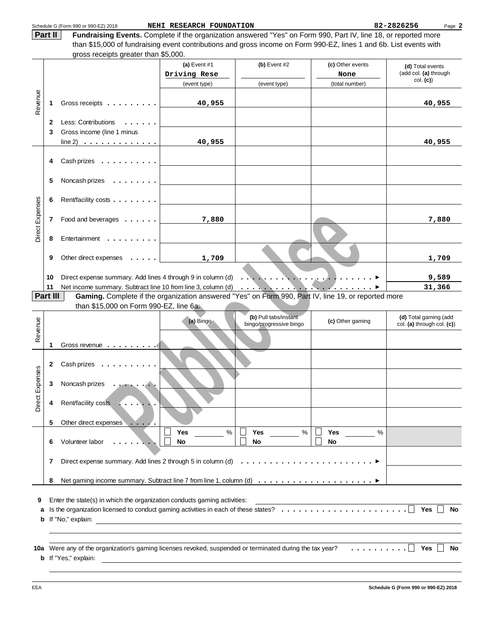|                        | Part II                                                                                                                                                                                                                                                    | Schedule G (Form 990 or 990-EZ) 2018<br>Fundraising Events. Complete if the organization answered "Yes" on Form 990, Part IV, line 18, or reported more | NEHI RESEARCH FOUNDATION       |                                                  |                                 | 82-2826256<br>Page 2                                |  |
|------------------------|------------------------------------------------------------------------------------------------------------------------------------------------------------------------------------------------------------------------------------------------------------|---------------------------------------------------------------------------------------------------------------------------------------------------------|--------------------------------|--------------------------------------------------|---------------------------------|-----------------------------------------------------|--|
|                        |                                                                                                                                                                                                                                                            | than \$15,000 of fundraising event contributions and gross income on Form 990-EZ, lines 1 and 6b. List events with                                      |                                |                                                  |                                 |                                                     |  |
|                        |                                                                                                                                                                                                                                                            |                                                                                                                                                         |                                |                                                  |                                 |                                                     |  |
|                        |                                                                                                                                                                                                                                                            |                                                                                                                                                         | (a) Event $#1$<br>Driving Rese | $(b)$ Event #2                                   | (c) Other events<br>None        | (d) Total events<br>(add col. (a) through           |  |
|                        |                                                                                                                                                                                                                                                            |                                                                                                                                                         | (event type)                   | (event type)                                     | (total number)                  | col. (c)                                            |  |
|                        |                                                                                                                                                                                                                                                            |                                                                                                                                                         |                                |                                                  |                                 |                                                     |  |
| Revenue                | 1                                                                                                                                                                                                                                                          | Gross receipts                                                                                                                                          | 40,955                         |                                                  |                                 | 40,955                                              |  |
|                        | 2                                                                                                                                                                                                                                                          | Less: Contributions                                                                                                                                     |                                |                                                  |                                 |                                                     |  |
|                        | 3                                                                                                                                                                                                                                                          | Gross income (line 1 minus                                                                                                                              |                                |                                                  |                                 |                                                     |  |
|                        |                                                                                                                                                                                                                                                            | $line 2) \ldots \ldots \ldots \ldots$                                                                                                                   | 40,955                         |                                                  |                                 | 40,955                                              |  |
|                        |                                                                                                                                                                                                                                                            |                                                                                                                                                         |                                |                                                  |                                 |                                                     |  |
|                        | 4                                                                                                                                                                                                                                                          | $Cash\! rizes   $                                                                                                                                       |                                |                                                  |                                 |                                                     |  |
|                        | 5                                                                                                                                                                                                                                                          | Noncash prizes                                                                                                                                          |                                |                                                  |                                 |                                                     |  |
|                        | 6                                                                                                                                                                                                                                                          | Rent/facility costs                                                                                                                                     |                                |                                                  |                                 |                                                     |  |
| <b>Direct Expenses</b> | 7                                                                                                                                                                                                                                                          | Food and beverages                                                                                                                                      | 7,880                          |                                                  |                                 | 7,880                                               |  |
|                        | 8                                                                                                                                                                                                                                                          | Entertainment                                                                                                                                           |                                |                                                  |                                 |                                                     |  |
|                        | 9                                                                                                                                                                                                                                                          | Other direct expenses                                                                                                                                   | 1,709                          |                                                  |                                 | 1,709                                               |  |
|                        | 10                                                                                                                                                                                                                                                         | Direct expense summary. Add lines 4 through 9 in column (d)                                                                                             |                                | .<br>$\cdot$ $\cdot$                             | <u>andre de de la communist</u> | 9,589                                               |  |
|                        | Net income summary. Subtract line 10 from line 3, column (d)<br>11<br>31,366<br>$\cdots$ . The second contract $\cdots$<br>. <i>.</i> 1<br>Part III<br>Gaming. Complete if the organization answered "Yes" on Form 990, Part IV, line 19, or reported more |                                                                                                                                                         |                                |                                                  |                                 |                                                     |  |
|                        |                                                                                                                                                                                                                                                            | than \$15,000 on Form 990-EZ, line $6a$ .                                                                                                               |                                |                                                  |                                 |                                                     |  |
| Revenue                |                                                                                                                                                                                                                                                            |                                                                                                                                                         | (a) Bingo                      | (b) Pull tabs/instant<br>bingo/progressive bingo | (c) Other gaming                | (d) Total gaming (add<br>col. (a) through col. (c)) |  |
|                        | 1                                                                                                                                                                                                                                                          | Gross revenue $\cdots$                                                                                                                                  |                                |                                                  |                                 |                                                     |  |
|                        | 2                                                                                                                                                                                                                                                          | Cash prizes                                                                                                                                             |                                |                                                  |                                 |                                                     |  |
|                        | 3                                                                                                                                                                                                                                                          | Noncash prizes                                                                                                                                          |                                |                                                  |                                 |                                                     |  |
| Direct Expenses        | 4                                                                                                                                                                                                                                                          | Rent/facility costs                                                                                                                                     |                                |                                                  |                                 |                                                     |  |
|                        | 5                                                                                                                                                                                                                                                          | Other direct expenses                                                                                                                                   |                                |                                                  |                                 |                                                     |  |
|                        | 6                                                                                                                                                                                                                                                          | Volunteer labor                                                                                                                                         | $\%$<br>Yes<br>No              | $\%$<br>Yes<br><b>No</b>                         | %<br>Yes<br>No                  |                                                     |  |
|                        | 7                                                                                                                                                                                                                                                          | Direct expense summary. Add lines 2 through 5 in column (d) $\ldots \ldots \ldots \ldots \ldots \ldots \ldots \ldots$                                   |                                |                                                  |                                 |                                                     |  |
|                        | 8                                                                                                                                                                                                                                                          |                                                                                                                                                         |                                |                                                  |                                 |                                                     |  |
|                        |                                                                                                                                                                                                                                                            |                                                                                                                                                         |                                |                                                  |                                 |                                                     |  |
| 9                      | Enter the state(s) in which the organization conducts gaming activities:<br><u> 1980 - Johann Barn, mars ann an t-Amhain Aonaich an t-Aonaich an t-Aonaich ann an t-Aonaich ann an t-Aonaich</u><br>Yes<br><b>No</b><br>a<br>b If "No," explain:           |                                                                                                                                                         |                                |                                                  |                                 |                                                     |  |

| <b>b</b> If "No," explain: |
|----------------------------|
|                            |

**10a Yes No** Were any of the organization's gaming licenses revoked, suspended or terminated during the tax year? **b** If "Yes," explain: ..........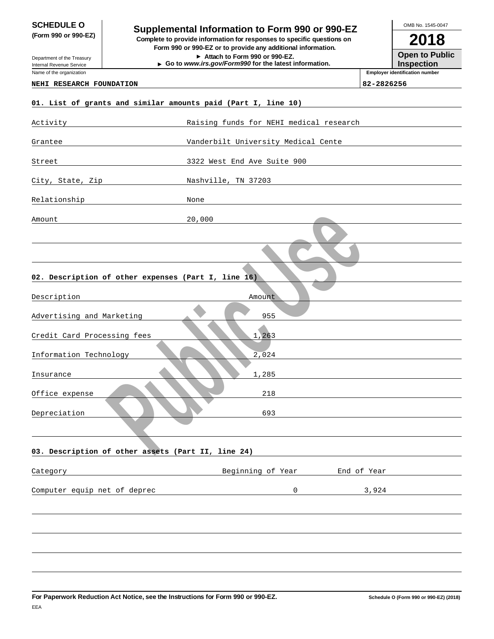## **SUPPLUATE OF A SUPPLEMENTAL INformation to Form 990 or 990-EZ**<br> **Supplemental Information to Form 990 or 990-EZ**

**(Form 990 or 990-EZ) Complete to provide information for responses to specific questions on Form 990 or 990-EZ or to provide any additional information.**

**Attach to Form 990 or 990-EZ. Go to www.irs.gov/Form990 for the latest information.**

**2018 Open to Public** OMB No. 1545-0047

**Inspection**

**Employer identification number**

Department of the Treasury Internal Revenue Service

#### Name of the organization

#### **NEHI RESEARCH FOUNDATION 82-2826256**

| 01. List of grants and similar amounts paid (Part I, line 10) |                                         |
|---------------------------------------------------------------|-----------------------------------------|
| Activity                                                      | Raising funds for NEHI medical research |
| Grantee                                                       | Vanderbilt University Medical Cente     |
| Street                                                        | 3322 West End Ave Suite 900             |
| City, State, Zip                                              | Nashville, TN 37203                     |
| Relationship                                                  | None                                    |
| Amount                                                        | 20,000                                  |
|                                                               |                                         |
| 02. Description of other expenses (Part I, line 16)           |                                         |
| Description                                                   | Amount                                  |
| Advertising and Marketing                                     | 955                                     |
| Credit Card Processing fees                                   | 1,263                                   |
| Information Technology                                        | 2,024                                   |
| Insurance                                                     | 1,285                                   |
| Office expense                                                | 218                                     |
| Depreciation                                                  | 693                                     |
|                                                               |                                         |
| 03. Description of other assets (Part II, line 24)            |                                         |
| Category                                                      | Beginning of Year<br>End of Year        |
| Computer equip net of deprec                                  | 3,924<br>$\mathsf{O}$                   |
|                                                               |                                         |
|                                                               |                                         |
|                                                               |                                         |
|                                                               |                                         |
|                                                               |                                         |